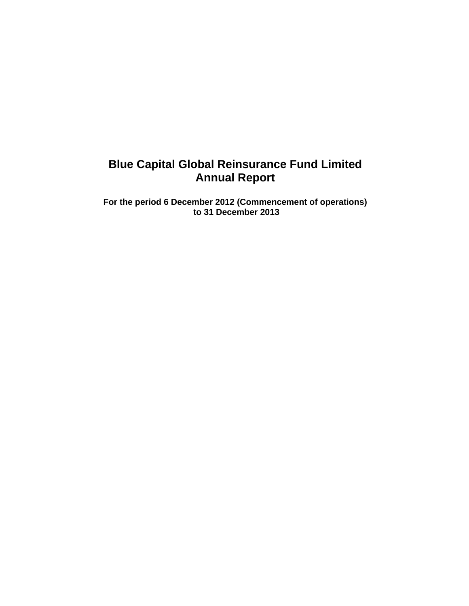### **Blue Capital Global Reinsurance Fund Limited Annual Report**

**For the period 6 December 2012 (Commencement of operations) to 31 December 2013**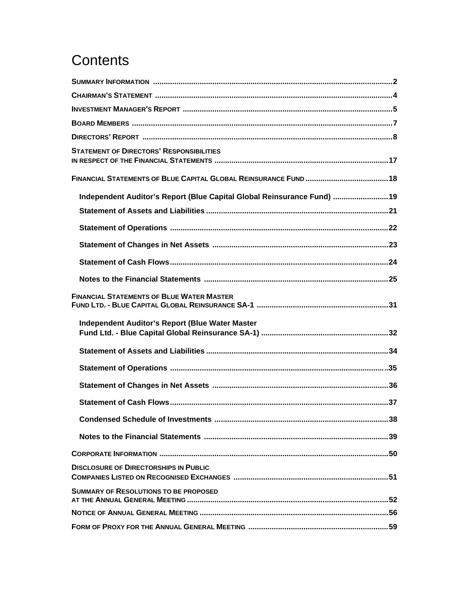# Contents

| <b>STATEMENT OF DIRECTORS' RESPONSIBILITIES</b>                         |
|-------------------------------------------------------------------------|
|                                                                         |
| Independent Auditor's Report (Blue Capital Global Reinsurance Fund)  19 |
|                                                                         |
|                                                                         |
|                                                                         |
|                                                                         |
|                                                                         |
| <b>FINANCIAL STATEMENTS OF BLUE WATER MASTER</b>                        |
| Independent Auditor's Report (Blue Water Master                         |
|                                                                         |
|                                                                         |
|                                                                         |
|                                                                         |
| <b>Condensed Schedule of Investments </b><br>.38                        |
|                                                                         |
|                                                                         |
| <b>DISCLOSURE OF DIRECTORSHIPS IN PUBLIC</b>                            |
| <b>SUMMARY OF RESOLUTIONS TO BE PROPOSED</b>                            |
|                                                                         |
|                                                                         |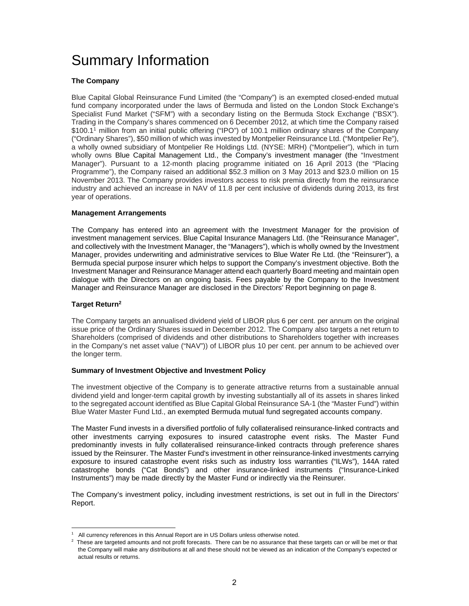# Summary Information

### **The Company**

Blue Capital Global Reinsurance Fund Limited (the "Company") is an exempted closed-ended mutual fund company incorporated under the laws of Bermuda and listed on the London Stock Exchange's Specialist Fund Market ("SFM") with a secondary listing on the Bermuda Stock Exchange ("BSX"). Trading in the Company's shares commenced on 6 December 2012, at which time the Company raised \$100.11 million from an initial public offering ("IPO") of 100.1 million ordinary shares of the Company ("Ordinary Shares"), \$50 million of which was invested by Montpelier Reinsurance Ltd. ("Montpelier Re"), a wholly owned subsidiary of Montpelier Re Holdings Ltd. (NYSE: MRH) ("Montpelier"), which in turn wholly owns Blue Capital Management Ltd., the Company's investment manager (the "Investment Manager"). Pursuant to a 12-month placing programme initiated on 16 April 2013 (the "Placing Programme"), the Company raised an additional \$52.3 million on 3 May 2013 and \$23.0 million on 15 November 2013. The Company provides investors access to risk premia directly from the reinsurance industry and achieved an increase in NAV of 11.8 per cent inclusive of dividends during 2013, its first year of operations.

### **Management Arrangements**

The Company has entered into an agreement with the Investment Manager for the provision of investment management services. Blue Capital Insurance Managers Ltd. (the "Reinsurance Manager", and collectively with the Investment Manager, the "Managers"), which is wholly owned by the Investment Manager, provides underwriting and administrative services to Blue Water Re Ltd. (the "Reinsurer"), a Bermuda special purpose insurer which helps to support the Company's investment objective. Both the Investment Manager and Reinsurance Manager attend each quarterly Board meeting and maintain open dialogue with the Directors on an ongoing basis. Fees payable by the Company to the Investment Manager and Reinsurance Manager are disclosed in the Directors' Report beginning on page 8.

### **Target Return2**

The Company targets an annualised dividend yield of LIBOR plus 6 per cent. per annum on the original issue price of the Ordinary Shares issued in December 2012. The Company also targets a net return to Shareholders (comprised of dividends and other distributions to Shareholders together with increases in the Company's net asset value ("NAV")) of LIBOR plus 10 per cent. per annum to be achieved over the longer term.

### **Summary of Investment Objective and Investment Policy**

The investment objective of the Company is to generate attractive returns from a sustainable annual dividend yield and longer-term capital growth by investing substantially all of its assets in shares linked to the segregated account identified as Blue Capital Global Reinsurance SA-1 (the "Master Fund") within Blue Water Master Fund Ltd., an exempted Bermuda mutual fund segregated accounts company.

The Master Fund invests in a diversified portfolio of fully collateralised reinsurance-linked contracts and other investments carrying exposures to insured catastrophe event risks. The Master Fund predominantly invests in fully collateralised reinsurance-linked contracts through preference shares issued by the Reinsurer. The Master Fund's investment in other reinsurance-linked investments carrying exposure to insured catastrophe event risks such as industry loss warranties ("ILWs"), 144A rated catastrophe bonds ("Cat Bonds") and other insurance-linked instruments ("Insurance-Linked Instruments") may be made directly by the Master Fund or indirectly via the Reinsurer.

The Company's investment policy, including investment restrictions, is set out in full in the Directors' Report.

 <sup>1</sup> All currency references in this Annual Report are in US Dollars unless otherwise noted.

 $^2$  These are targeted amounts and not profit forecasts. There can be no assurance that these targets can or will be met or that the Company will make any distributions at all and these should not be viewed as an indication of the Company's expected or actual results or returns.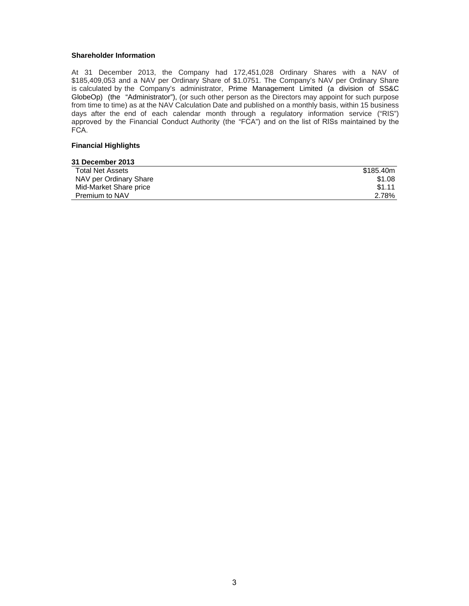### **Shareholder Information**

At 31 December 2013, the Company had 172,451,028 Ordinary Shares with a NAV of \$185,409,053 and a NAV per Ordinary Share of \$1.0751. The Company's NAV per Ordinary Share is calculated by the Company's administrator, Prime Management Limited (a division of SS&C GlobeOp) (the "Administrator"), (or such other person as the Directors may appoint for such purpose from time to time) as at the NAV Calculation Date and published on a monthly basis, within 15 business days after the end of each calendar month through a regulatory information service ("RIS") approved by the Financial Conduct Authority (the "FCA") and on the list of RISs maintained by the FCA.

#### **Financial Highlights**

| 31 December 2013        |           |
|-------------------------|-----------|
| <b>Total Net Assets</b> | \$185.40m |
| NAV per Ordinary Share  | \$1.08    |
| Mid-Market Share price  | \$1.11    |
| Premium to NAV          | 2.78%     |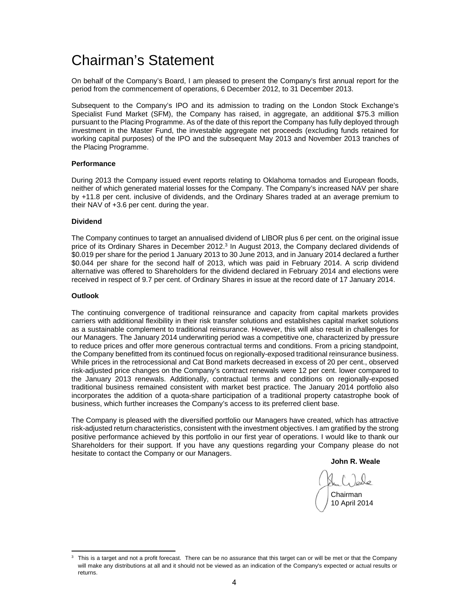# Chairman's Statement

On behalf of the Company's Board, I am pleased to present the Company's first annual report for the period from the commencement of operations, 6 December 2012, to 31 December 2013.

Subsequent to the Company's IPO and its admission to trading on the London Stock Exchange's Specialist Fund Market (SFM), the Company has raised, in aggregate, an additional \$75.3 million pursuant to the Placing Programme. As of the date of this report the Company has fully deployed through investment in the Master Fund, the investable aggregate net proceeds (excluding funds retained for working capital purposes) of the IPO and the subsequent May 2013 and November 2013 tranches of the Placing Programme.

#### **Performance**

During 2013 the Company issued event reports relating to Oklahoma tornados and European floods, neither of which generated material losses for the Company. The Company's increased NAV per share by +11.8 per cent. inclusive of dividends, and the Ordinary Shares traded at an average premium to their NAV of +3.6 per cent. during the year.

#### **Dividend**

The Company continues to target an annualised dividend of LIBOR plus 6 per cent. on the original issue price of its Ordinary Shares in December 2012.<sup>3</sup> In August 2013, the Company declared dividends of \$0.019 per share for the period 1 January 2013 to 30 June 2013, and in January 2014 declared a further \$0.044 per share for the second half of 2013, which was paid in February 2014. A scrip dividend alternative was offered to Shareholders for the dividend declared in February 2014 and elections were received in respect of 9.7 per cent. of Ordinary Shares in issue at the record date of 17 January 2014.

#### **Outlook**

The continuing convergence of traditional reinsurance and capacity from capital markets provides carriers with additional flexibility in their risk transfer solutions and establishes capital market solutions as a sustainable complement to traditional reinsurance. However, this will also result in challenges for our Managers. The January 2014 underwriting period was a competitive one, characterized by pressure to reduce prices and offer more generous contractual terms and conditions. From a pricing standpoint, the Company benefitted from its continued focus on regionally-exposed traditional reinsurance business. While prices in the retrocessional and Cat Bond markets decreased in excess of 20 per cent., observed risk-adjusted price changes on the Company's contract renewals were 12 per cent. lower compared to the January 2013 renewals. Additionally, contractual terms and conditions on regionally-exposed traditional business remained consistent with market best practice. The January 2014 portfolio also incorporates the addition of a quota-share participation of a traditional property catastrophe book of business, which further increases the Company's access to its preferred client base.

The Company is pleased with the diversified portfolio our Managers have created, which has attractive risk-adjusted return characteristics, consistent with the investment objectives. I am gratified by the strong positive performance achieved by this portfolio in our first year of operations. I would like to thank our Shareholders for their support. If you have any questions regarding your Company please do not hesitate to contact the Company or our Managers.

**John R. Weale** 

Chairman 10 April 2014

 $3$  This is a target and not a profit forecast. There can be no assurance that this target can or will be met or that the Company will make any distributions at all and it should not be viewed as an indication of the Company's expected or actual results or returns.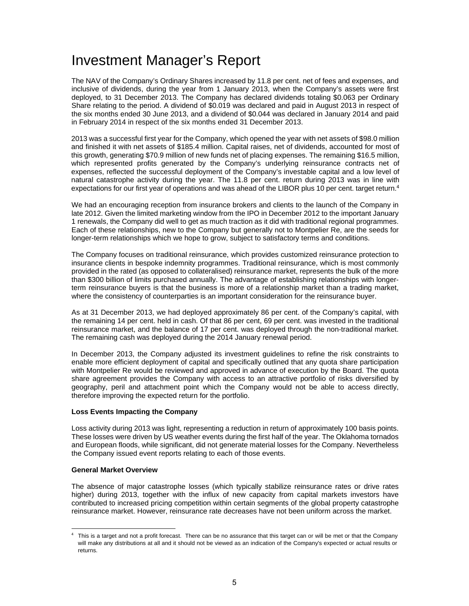# Investment Manager's Report

The NAV of the Company's Ordinary Shares increased by 11.8 per cent. net of fees and expenses, and inclusive of dividends, during the year from 1 January 2013, when the Company's assets were first deployed, to 31 December 2013. The Company has declared dividends totaling \$0.063 per Ordinary Share relating to the period. A dividend of \$0.019 was declared and paid in August 2013 in respect of the six months ended 30 June 2013, and a dividend of \$0.044 was declared in January 2014 and paid in February 2014 in respect of the six months ended 31 December 2013.

2013 was a successful first year for the Company, which opened the year with net assets of \$98.0 million and finished it with net assets of \$185.4 million. Capital raises, net of dividends, accounted for most of this growth, generating \$70.9 million of new funds net of placing expenses. The remaining \$16.5 million, which represented profits generated by the Company's underlying reinsurance contracts net of expenses, reflected the successful deployment of the Company's investable capital and a low level of natural catastrophe activity during the year. The 11.8 per cent. return during 2013 was in line with expectations for our first year of operations and was ahead of the LIBOR plus 10 per cent. target return.<sup>4</sup>

We had an encouraging reception from insurance brokers and clients to the launch of the Company in late 2012. Given the limited marketing window from the IPO in December 2012 to the important January 1 renewals, the Company did well to get as much traction as it did with traditional regional programmes. Each of these relationships, new to the Company but generally not to Montpelier Re, are the seeds for longer-term relationships which we hope to grow, subject to satisfactory terms and conditions.

The Company focuses on traditional reinsurance, which provides customized reinsurance protection to insurance clients in bespoke indemnity programmes. Traditional reinsurance, which is most commonly provided in the rated (as opposed to collateralised) reinsurance market, represents the bulk of the more than \$300 billion of limits purchased annually. The advantage of establishing relationships with longerterm reinsurance buyers is that the business is more of a relationship market than a trading market, where the consistency of counterparties is an important consideration for the reinsurance buyer.

As at 31 December 2013, we had deployed approximately 86 per cent. of the Company's capital, with the remaining 14 per cent. held in cash. Of that 86 per cent, 69 per cent. was invested in the traditional reinsurance market, and the balance of 17 per cent. was deployed through the non-traditional market. The remaining cash was deployed during the 2014 January renewal period.

In December 2013, the Company adjusted its investment guidelines to refine the risk constraints to enable more efficient deployment of capital and specifically outlined that any quota share participation with Montpelier Re would be reviewed and approved in advance of execution by the Board. The quota share agreement provides the Company with access to an attractive portfolio of risks diversified by geography, peril and attachment point which the Company would not be able to access directly, therefore improving the expected return for the portfolio.

### **Loss Events Impacting the Company**

Loss activity during 2013 was light, representing a reduction in return of approximately 100 basis points. These losses were driven by US weather events during the first half of the year. The Oklahoma tornados and European floods, while significant, did not generate material losses for the Company. Nevertheless the Company issued event reports relating to each of those events.

### **General Market Overview**

The absence of major catastrophe losses (which typically stabilize reinsurance rates or drive rates higher) during 2013, together with the influx of new capacity from capital markets investors have contributed to increased pricing competition within certain segments of the global property catastrophe reinsurance market. However, reinsurance rate decreases have not been uniform across the market.

This is a target and not a profit forecast. There can be no assurance that this target can or will be met or that the Company will make any distributions at all and it should not be viewed as an indication of the Company's expected or actual results or returns.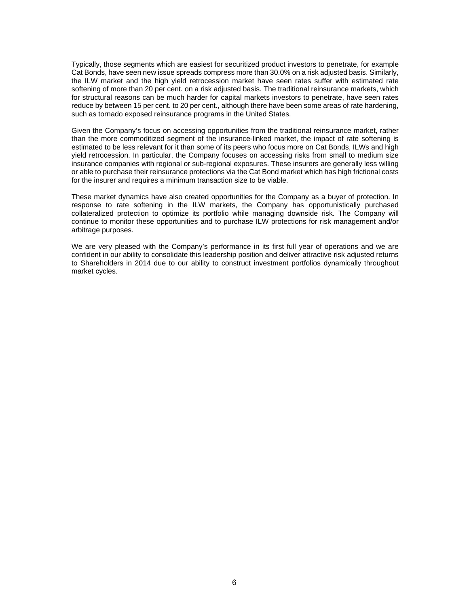Typically, those segments which are easiest for securitized product investors to penetrate, for example Cat Bonds, have seen new issue spreads compress more than 30.0% on a risk adjusted basis. Similarly, the ILW market and the high yield retrocession market have seen rates suffer with estimated rate softening of more than 20 per cent. on a risk adjusted basis. The traditional reinsurance markets, which for structural reasons can be much harder for capital markets investors to penetrate, have seen rates reduce by between 15 per cent. to 20 per cent., although there have been some areas of rate hardening, such as tornado exposed reinsurance programs in the United States.

Given the Company's focus on accessing opportunities from the traditional reinsurance market, rather than the more commoditized segment of the insurance-linked market, the impact of rate softening is estimated to be less relevant for it than some of its peers who focus more on Cat Bonds, ILWs and high yield retrocession. In particular, the Company focuses on accessing risks from small to medium size insurance companies with regional or sub-regional exposures. These insurers are generally less willing or able to purchase their reinsurance protections via the Cat Bond market which has high frictional costs for the insurer and requires a minimum transaction size to be viable.

These market dynamics have also created opportunities for the Company as a buyer of protection. In response to rate softening in the ILW markets, the Company has opportunistically purchased collateralized protection to optimize its portfolio while managing downside risk. The Company will continue to monitor these opportunities and to purchase ILW protections for risk management and/or arbitrage purposes.

We are very pleased with the Company's performance in its first full year of operations and we are confident in our ability to consolidate this leadership position and deliver attractive risk adjusted returns to Shareholders in 2014 due to our ability to construct investment portfolios dynamically throughout market cycles.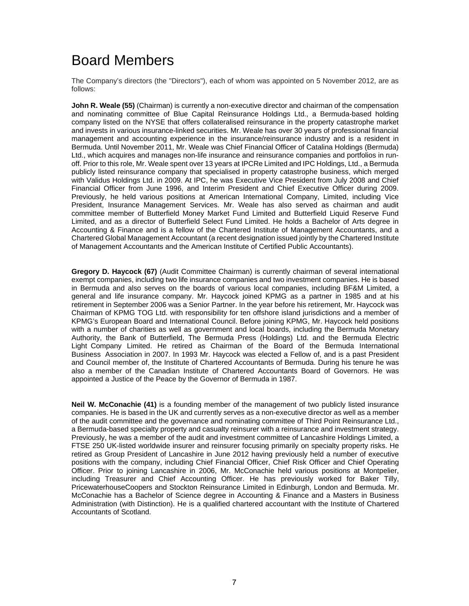# Board Members

The Company's directors (the "Directors"), each of whom was appointed on 5 November 2012, are as follows:

**John R. Weale (55)** (Chairman) is currently a non-executive director and chairman of the compensation and nominating committee of Blue Capital Reinsurance Holdings Ltd., a Bermuda-based holding company listed on the NYSE that offers collateralised reinsurance in the property catastrophe market and invests in various insurance-linked securities. Mr. Weale has over 30 years of professional financial management and accounting experience in the insurance/reinsurance industry and is a resident in Bermuda. Until November 2011, Mr. Weale was Chief Financial Officer of Catalina Holdings (Bermuda) Ltd., which acquires and manages non-life insurance and reinsurance companies and portfolios in runoff. Prior to this role, Mr. Weale spent over 13 years at IPCRe Limited and IPC Holdings, Ltd., a Bermuda publicly listed reinsurance company that specialised in property catastrophe business, which merged with Validus Holdings Ltd. in 2009. At IPC, he was Executive Vice President from July 2008 and Chief Financial Officer from June 1996, and Interim President and Chief Executive Officer during 2009. Previously, he held various positions at American International Company, Limited, including Vice President, Insurance Management Services. Mr. Weale has also served as chairman and audit committee member of Butterfield Money Market Fund Limited and Butterfield Liquid Reserve Fund Limited, and as a director of Butterfield Select Fund Limited. He holds a Bachelor of Arts degree in Accounting & Finance and is a fellow of the Chartered Institute of Management Accountants, and a Chartered Global Management Accountant (a recent designation issued jointly by the Chartered Institute of Management Accountants and the American Institute of Certified Public Accountants).

**Gregory D. Haycock (67)** (Audit Committee Chairman) is currently chairman of several international exempt companies, including two life insurance companies and two investment companies. He is based in Bermuda and also serves on the boards of various local companies, including BF&M Limited, a general and life insurance company. Mr. Haycock joined KPMG as a partner in 1985 and at his retirement in September 2006 was a Senior Partner. In the year before his retirement, Mr. Haycock was Chairman of KPMG TOG Ltd. with responsibility for ten offshore island jurisdictions and a member of KPMG's European Board and International Council. Before joining KPMG, Mr. Haycock held positions with a number of charities as well as government and local boards, including the Bermuda Monetary Authority, the Bank of Butterfield, The Bermuda Press (Holdings) Ltd. and the Bermuda Electric Light Company Limited. He retired as Chairman of the Board of the Bermuda International Business Association in 2007. In 1993 Mr. Haycock was elected a Fellow of, and is a past President and Council member of, the Institute of Chartered Accountants of Bermuda. During his tenure he was also a member of the Canadian Institute of Chartered Accountants Board of Governors. He was appointed a Justice of the Peace by the Governor of Bermuda in 1987.

**Neil W. McConachie (41)** is a founding member of the management of two publicly listed insurance companies. He is based in the UK and currently serves as a non-executive director as well as a member of the audit committee and the governance and nominating committee of Third Point Reinsurance Ltd., a Bermuda-based specialty property and casualty reinsurer with a reinsurance and investment strategy. Previously, he was a member of the audit and investment committee of Lancashire Holdings Limited, a FTSE 250 UK-listed worldwide insurer and reinsurer focusing primarily on specialty property risks. He retired as Group President of Lancashire in June 2012 having previously held a number of executive positions with the company, including Chief Financial Officer, Chief Risk Officer and Chief Operating Officer. Prior to joining Lancashire in 2006, Mr. McConachie held various positions at Montpelier, including Treasurer and Chief Accounting Officer. He has previously worked for Baker Tilly, PricewaterhouseCoopers and Stockton Reinsurance Limited in Edinburgh, London and Bermuda. Mr. McConachie has a Bachelor of Science degree in Accounting & Finance and a Masters in Business Administration (with Distinction). He is a qualified chartered accountant with the Institute of Chartered Accountants of Scotland.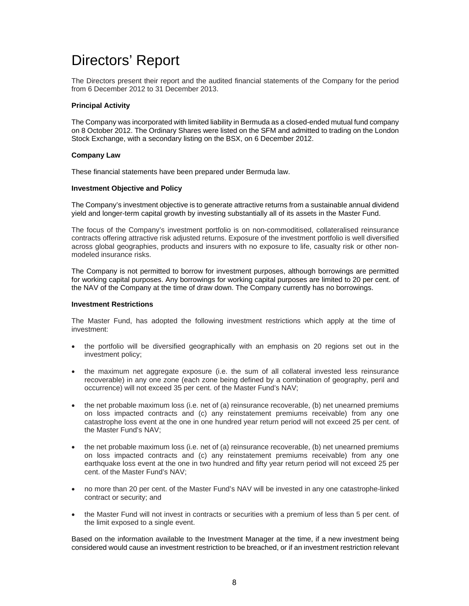# Directors' Report

The Directors present their report and the audited financial statements of the Company for the period from 6 December 2012 to 31 December 2013.

### **Principal Activity**

The Company was incorporated with limited liability in Bermuda as a closed-ended mutual fund company on 8 October 2012. The Ordinary Shares were listed on the SFM and admitted to trading on the London Stock Exchange, with a secondary listing on the BSX, on 6 December 2012.

### **Company Law**

These financial statements have been prepared under Bermuda law.

### **Investment Objective and Policy**

The Company's investment objective is to generate attractive returns from a sustainable annual dividend yield and longer-term capital growth by investing substantially all of its assets in the Master Fund.

The focus of the Company's investment portfolio is on non-commoditised, collateralised reinsurance contracts offering attractive risk adjusted returns. Exposure of the investment portfolio is well diversified across global geographies, products and insurers with no exposure to life, casualty risk or other nonmodeled insurance risks.

The Company is not permitted to borrow for investment purposes, although borrowings are permitted for working capital purposes. Any borrowings for working capital purposes are limited to 20 per cent. of the NAV of the Company at the time of draw down. The Company currently has no borrowings.

#### **Investment Restrictions**

The Master Fund, has adopted the following investment restrictions which apply at the time of investment:

- the portfolio will be diversified geographically with an emphasis on 20 regions set out in the investment policy;
- the maximum net aggregate exposure (i.e. the sum of all collateral invested less reinsurance recoverable) in any one zone (each zone being defined by a combination of geography, peril and occurrence) will not exceed 35 per cent. of the Master Fund's NAV;
- $\bullet$  the net probable maximum loss (i.e. net of (a) reinsurance recoverable, (b) net unearned premiums on loss impacted contracts and (c) any reinstatement premiums receivable) from any one catastrophe loss event at the one in one hundred year return period will not exceed 25 per cent. of the Master Fund's NAV;
- $\bullet$  the net probable maximum loss (i.e. net of (a) reinsurance recoverable, (b) net unearned premiums on loss impacted contracts and (c) any reinstatement premiums receivable) from any one earthquake loss event at the one in two hundred and fifty year return period will not exceed 25 per cent. of the Master Fund's NAV;
- no more than 20 per cent. of the Master Fund's NAV will be invested in any one catastrophe-linked contract or security; and
- the Master Fund will not invest in contracts or securities with a premium of less than 5 per cent. of the limit exposed to a single event.

Based on the information available to the Investment Manager at the time, if a new investment being considered would cause an investment restriction to be breached, or if an investment restriction relevant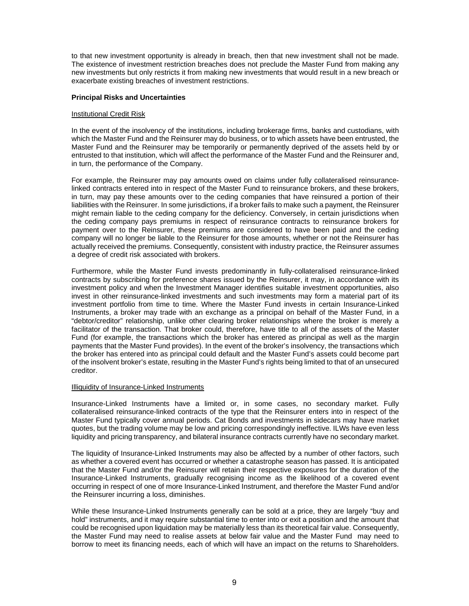to that new investment opportunity is already in breach, then that new investment shall not be made. The existence of investment restriction breaches does not preclude the Master Fund from making any new investments but only restricts it from making new investments that would result in a new breach or exacerbate existing breaches of investment restrictions.

### **Principal Risks and Uncertainties**

### Institutional Credit Risk

In the event of the insolvency of the institutions, including brokerage firms, banks and custodians, with which the Master Fund and the Reinsurer may do business, or to which assets have been entrusted, the Master Fund and the Reinsurer may be temporarily or permanently deprived of the assets held by or entrusted to that institution, which will affect the performance of the Master Fund and the Reinsurer and, in turn, the performance of the Company.

For example, the Reinsurer may pay amounts owed on claims under fully collateralised reinsurancelinked contracts entered into in respect of the Master Fund to reinsurance brokers, and these brokers, in turn, may pay these amounts over to the ceding companies that have reinsured a portion of their liabilities with the Reinsurer. In some jurisdictions, if a broker fails to make such a payment, the Reinsurer might remain liable to the ceding company for the deficiency. Conversely, in certain jurisdictions when the ceding company pays premiums in respect of reinsurance contracts to reinsurance brokers for payment over to the Reinsurer, these premiums are considered to have been paid and the ceding company will no longer be liable to the Reinsurer for those amounts, whether or not the Reinsurer has actually received the premiums. Consequently, consistent with industry practice, the Reinsurer assumes a degree of credit risk associated with brokers.

Furthermore, while the Master Fund invests predominantly in fully-collateralised reinsurance-linked contracts by subscribing for preference shares issued by the Reinsurer, it may, in accordance with its investment policy and when the Investment Manager identifies suitable investment opportunities, also invest in other reinsurance-linked investments and such investments may form a material part of its investment portfolio from time to time. Where the Master Fund invests in certain Insurance-Linked Instruments, a broker may trade with an exchange as a principal on behalf of the Master Fund, in a "debtor/creditor" relationship, unlike other clearing broker relationships where the broker is merely a facilitator of the transaction. That broker could, therefore, have title to all of the assets of the Master Fund (for example, the transactions which the broker has entered as principal as well as the margin payments that the Master Fund provides). In the event of the broker's insolvency, the transactions which the broker has entered into as principal could default and the Master Fund's assets could become part of the insolvent broker's estate, resulting in the Master Fund's rights being limited to that of an unsecured creditor.

### Illiquidity of Insurance-Linked Instruments

Insurance-Linked Instruments have a limited or, in some cases, no secondary market. Fully collateralised reinsurance-linked contracts of the type that the Reinsurer enters into in respect of the Master Fund typically cover annual periods. Cat Bonds and investments in sidecars may have market quotes, but the trading volume may be low and pricing correspondingly ineffective. ILWs have even less liquidity and pricing transparency, and bilateral insurance contracts currently have no secondary market.

The liquidity of Insurance-Linked Instruments may also be affected by a number of other factors, such as whether a covered event has occurred or whether a catastrophe season has passed. It is anticipated that the Master Fund and/or the Reinsurer will retain their respective exposures for the duration of the Insurance-Linked Instruments, gradually recognising income as the likelihood of a covered event occurring in respect of one of more Insurance-Linked Instrument, and therefore the Master Fund and/or the Reinsurer incurring a loss, diminishes.

While these Insurance-Linked Instruments generally can be sold at a price, they are largely "buy and hold" instruments, and it may require substantial time to enter into or exit a position and the amount that could be recognised upon liquidation may be materially less than its theoretical fair value. Consequently, the Master Fund may need to realise assets at below fair value and the Master Fund may need to borrow to meet its financing needs, each of which will have an impact on the returns to Shareholders.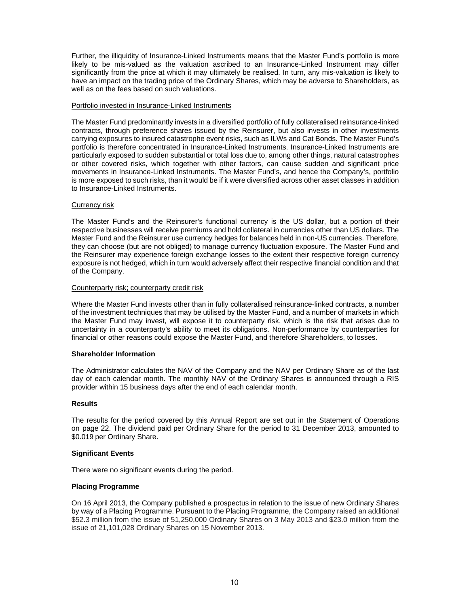Further, the illiquidity of Insurance-Linked Instruments means that the Master Fund's portfolio is more likely to be mis-valued as the valuation ascribed to an Insurance-Linked Instrument may differ significantly from the price at which it may ultimately be realised. In turn, any mis-valuation is likely to have an impact on the trading price of the Ordinary Shares, which may be adverse to Shareholders, as well as on the fees based on such valuations.

### Portfolio invested in Insurance-Linked Instruments

The Master Fund predominantly invests in a diversified portfolio of fully collateralised reinsurance-linked contracts, through preference shares issued by the Reinsurer, but also invests in other investments carrying exposures to insured catastrophe event risks, such as ILWs and Cat Bonds. The Master Fund's portfolio is therefore concentrated in Insurance-Linked Instruments. Insurance-Linked Instruments are particularly exposed to sudden substantial or total loss due to, among other things, natural catastrophes or other covered risks, which together with other factors, can cause sudden and significant price movements in Insurance-Linked Instruments. The Master Fund's, and hence the Company's, portfolio is more exposed to such risks, than it would be if it were diversified across other asset classes in addition to Insurance-Linked Instruments.

### Currency risk

The Master Fund's and the Reinsurer's functional currency is the US dollar, but a portion of their respective businesses will receive premiums and hold collateral in currencies other than US dollars. The Master Fund and the Reinsurer use currency hedges for balances held in non-US currencies. Therefore, they can choose (but are not obliged) to manage currency fluctuation exposure. The Master Fund and the Reinsurer may experience foreign exchange losses to the extent their respective foreign currency exposure is not hedged, which in turn would adversely affect their respective financial condition and that of the Company.

#### Counterparty risk; counterparty credit risk

Where the Master Fund invests other than in fully collateralised reinsurance-linked contracts, a number of the investment techniques that may be utilised by the Master Fund, and a number of markets in which the Master Fund may invest, will expose it to counterparty risk, which is the risk that arises due to uncertainty in a counterparty's ability to meet its obligations. Non-performance by counterparties for financial or other reasons could expose the Master Fund, and therefore Shareholders, to losses.

### **Shareholder Information**

The Administrator calculates the NAV of the Company and the NAV per Ordinary Share as of the last day of each calendar month. The monthly NAV of the Ordinary Shares is announced through a RIS provider within 15 business days after the end of each calendar month.

### **Results**

The results for the period covered by this Annual Report are set out in the Statement of Operations on page 22. The dividend paid per Ordinary Share for the period to 31 December 2013, amounted to \$0.019 per Ordinary Share.

### **Significant Events**

There were no significant events during the period.

### **Placing Programme**

On 16 April 2013, the Company published a prospectus in relation to the issue of new Ordinary Shares by way of a Placing Programme. Pursuant to the Placing Programme, the Company raised an additional \$52.3 million from the issue of 51,250,000 Ordinary Shares on 3 May 2013 and \$23.0 million from the issue of 21,101,028 Ordinary Shares on 15 November 2013.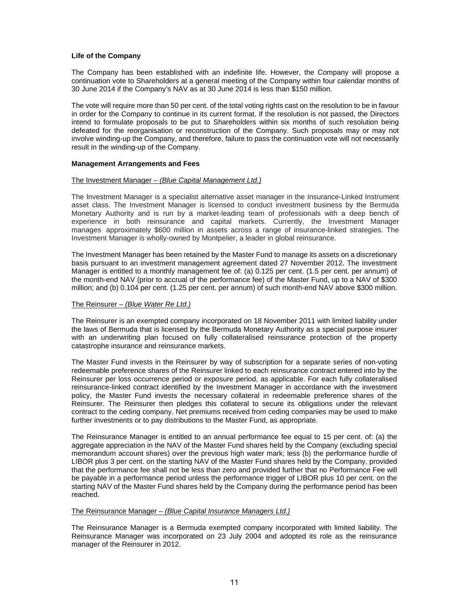### **Life of the Company**

The Company has been established with an indefinite life. However, the Company will propose a continuation vote to Shareholders at a general meeting of the Company within four calendar months of 30 June 2014 if the Company's NAV as at 30 June 2014 is less than \$150 million.

The vote will require more than 50 per cent. of the total voting rights cast on the resolution to be in favour in order for the Company to continue in its current format. If the resolution is not passed, the Directors intend to formulate proposals to be put to Shareholders within six months of such resolution being defeated for the reorganisation or reconstruction of the Company. Such proposals may or may not involve winding-up the Company, and therefore, failure to pass the continuation vote will not necessarily result in the winding-up of the Company.

### **Management Arrangements and Fees**

### The Investment Manager – *(Blue Capital Management Ltd.)*

The Investment Manager is a specialist alternative asset manager in the Insurance-Linked Instrument asset class. The Investment Manager is licensed to conduct investment business by the Bermuda Monetary Authority and is run by a market-leading team of professionals with a deep bench of experience in both reinsurance and capital markets. Currently, the Investment Manager manages approximately \$600 million in assets across a range of insurance-linked strategies. The Investment Manager is wholly-owned by Montpelier, a leader in global reinsurance.

The Investment Manager has been retained by the Master Fund to manage its assets on a discretionary basis pursuant to an investment management agreement dated 27 November 2012. The Investment Manager is entitled to a monthly management fee of: (a) 0.125 per cent. (1.5 per cent. per annum) of the month-end NAV (prior to accrual of the performance fee) of the Master Fund, up to a NAV of \$300 million; and (b) 0.104 per cent. (1.25 per cent. per annum) of such month-end NAV above \$300 million.

### The Reinsurer – *(Blue Water Re Ltd.)*

The Reinsurer is an exempted company incorporated on 18 November 2011 with limited liability under the laws of Bermuda that is licensed by the Bermuda Monetary Authority as a special purpose insurer with an underwriting plan focused on fully collateralised reinsurance protection of the property catastrophe insurance and reinsurance markets.

The Master Fund invests in the Reinsurer by way of subscription for a separate series of non-voting redeemable preference shares of the Reinsurer linked to each reinsurance contract entered into by the Reinsurer per loss occurrence period or exposure period, as applicable. For each fully collateralised reinsurance-linked contract identified by the Investment Manager in accordance with the investment policy, the Master Fund invests the necessary collateral in redeemable preference shares of the Reinsurer. The Reinsurer then pledges this collateral to secure its obligations under the relevant contract to the ceding company. Net premiums received from ceding companies may be used to make further investments or to pay distributions to the Master Fund, as appropriate.

The Reinsurance Manager is entitled to an annual performance fee equal to 15 per cent. of: (a) the aggregate appreciation in the NAV of the Master Fund shares held by the Company (excluding special memorandum account shares) over the previous high water mark; less (b) the performance hurdle of LIBOR plus 3 per cent. on the starting NAV of the Master Fund shares held by the Company, provided that the performance fee shall not be less than zero and provided further that no Performance Fee will be payable in a performance period unless the performance trigger of LIBOR plus 10 per cent. on the starting NAV of the Master Fund shares held by the Company during the performance period has been reached.

### The Reinsurance Manager – *(Blue Capital Insurance Managers Ltd.)*

The Reinsurance Manager is a Bermuda exempted company incorporated with limited liability. The Reinsurance Manager was incorporated on 23 July 2004 and adopted its role as the reinsurance manager of the Reinsurer in 2012.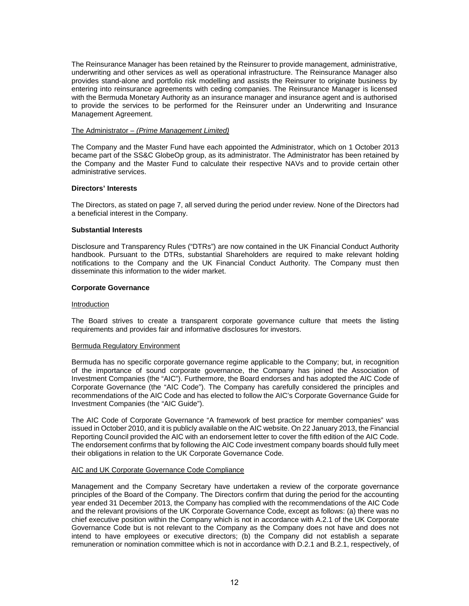The Reinsurance Manager has been retained by the Reinsurer to provide management, administrative, underwriting and other services as well as operational infrastructure. The Reinsurance Manager also provides stand-alone and portfolio risk modelling and assists the Reinsurer to originate business by entering into reinsurance agreements with ceding companies. The Reinsurance Manager is licensed with the Bermuda Monetary Authority as an insurance manager and insurance agent and is authorised to provide the services to be performed for the Reinsurer under an Underwriting and Insurance Management Agreement.

### The Administrator – *(Prime Management Limited)*

The Company and the Master Fund have each appointed the Administrator, which on 1 October 2013 became part of the SS&C GlobeOp group, as its administrator. The Administrator has been retained by the Company and the Master Fund to calculate their respective NAVs and to provide certain other administrative services.

### **Directors' Interests**

The Directors, as stated on page 7, all served during the period under review. None of the Directors had a beneficial interest in the Company.

#### **Substantial Interests**

Disclosure and Transparency Rules ("DTRs") are now contained in the UK Financial Conduct Authority handbook. Pursuant to the DTRs, substantial Shareholders are required to make relevant holding notifications to the Company and the UK Financial Conduct Authority. The Company must then disseminate this information to the wider market.

#### **Corporate Governance**

#### Introduction

The Board strives to create a transparent corporate governance culture that meets the listing requirements and provides fair and informative disclosures for investors.

#### Bermuda Regulatory Environment

Bermuda has no specific corporate governance regime applicable to the Company; but, in recognition of the importance of sound corporate governance, the Company has joined the Association of Investment Companies (the "AIC"). Furthermore, the Board endorses and has adopted the AIC Code of Corporate Governance (the "AIC Code"). The Company has carefully considered the principles and recommendations of the AIC Code and has elected to follow the AIC's Corporate Governance Guide for Investment Companies (the "AIC Guide").

The AIC Code of Corporate Governance "A framework of best practice for member companies" was issued in October 2010, and it is publicly available on the AIC website. On 22 January 2013, the Financial Reporting Council provided the AIC with an endorsement letter to cover the fifth edition of the AIC Code. The endorsement confirms that by following the AIC Code investment company boards should fully meet their obligations in relation to the UK Corporate Governance Code.

### AIC and UK Corporate Governance Code Compliance

Management and the Company Secretary have undertaken a review of the corporate governance principles of the Board of the Company. The Directors confirm that during the period for the accounting year ended 31 December 2013, the Company has complied with the recommendations of the AIC Code and the relevant provisions of the UK Corporate Governance Code, except as follows: (a) there was no chief executive position within the Company which is not in accordance with A.2.1 of the UK Corporate Governance Code but is not relevant to the Company as the Company does not have and does not intend to have employees or executive directors; (b) the Company did not establish a separate remuneration or nomination committee which is not in accordance with D.2.1 and B.2.1, respectively, of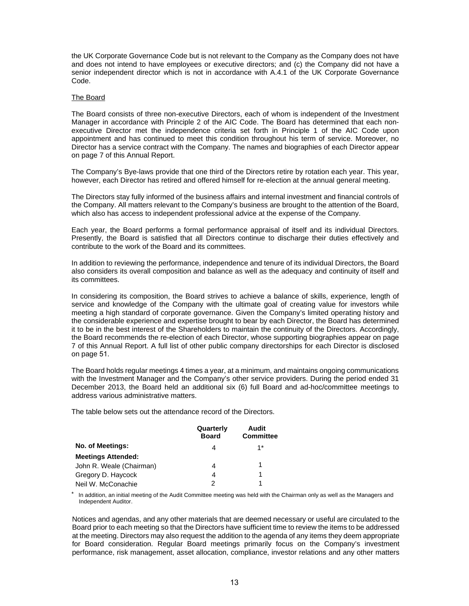the UK Corporate Governance Code but is not relevant to the Company as the Company does not have and does not intend to have employees or executive directors; and (c) the Company did not have a senior independent director which is not in accordance with A.4.1 of the UK Corporate Governance Code.

#### The Board

The Board consists of three non-executive Directors, each of whom is independent of the Investment Manager in accordance with Principle 2 of the AIC Code. The Board has determined that each nonexecutive Director met the independence criteria set forth in Principle 1 of the AIC Code upon appointment and has continued to meet this condition throughout his term of service. Moreover, no Director has a service contract with the Company. The names and biographies of each Director appear on page 7 of this Annual Report.

The Company's Bye-laws provide that one third of the Directors retire by rotation each year. This year, however, each Director has retired and offered himself for re-election at the annual general meeting.

The Directors stay fully informed of the business affairs and internal investment and financial controls of the Company. All matters relevant to the Company's business are brought to the attention of the Board, which also has access to independent professional advice at the expense of the Company.

Each year, the Board performs a formal performance appraisal of itself and its individual Directors. Presently, the Board is satisfied that all Directors continue to discharge their duties effectively and contribute to the work of the Board and its committees.

In addition to reviewing the performance, independence and tenure of its individual Directors, the Board also considers its overall composition and balance as well as the adequacy and continuity of itself and its committees.

In considering its composition, the Board strives to achieve a balance of skills, experience, length of service and knowledge of the Company with the ultimate goal of creating value for investors while meeting a high standard of corporate governance. Given the Company's limited operating history and the considerable experience and expertise brought to bear by each Director, the Board has determined it to be in the best interest of the Shareholders to maintain the continuity of the Directors. Accordingly, the Board recommends the re-election of each Director, whose supporting biographies appear on page 7 of this Annual Report. A full list of other public company directorships for each Director is disclosed on page 51.

The Board holds regular meetings 4 times a year, at a minimum, and maintains ongoing communications with the Investment Manager and the Company's other service providers. During the period ended 31 December 2013, the Board held an additional six (6) full Board and ad-hoc/committee meetings to address various administrative matters.

The table below sets out the attendance record of the Directors.

|                           | Quarterly<br><b>Board</b> | Audit<br><b>Committee</b> |
|---------------------------|---------------------------|---------------------------|
| No. of Meetings:          |                           | 1*                        |
| <b>Meetings Attended:</b> |                           |                           |
| John R. Weale (Chairman)  | 4                         | 1                         |
| Gregory D. Haycock        | 4                         | 1                         |
| Neil W. McConachie        | 2                         | 1                         |

\* In addition, an initial meeting of the Audit Committee meeting was held with the Chairman only as well as the Managers and Independent Auditor.

Notices and agendas, and any other materials that are deemed necessary or useful are circulated to the Board prior to each meeting so that the Directors have sufficient time to review the items to be addressed at the meeting. Directors may also request the addition to the agenda of any items they deem appropriate for Board consideration. Regular Board meetings primarily focus on the Company's investment performance, risk management, asset allocation, compliance, investor relations and any other matters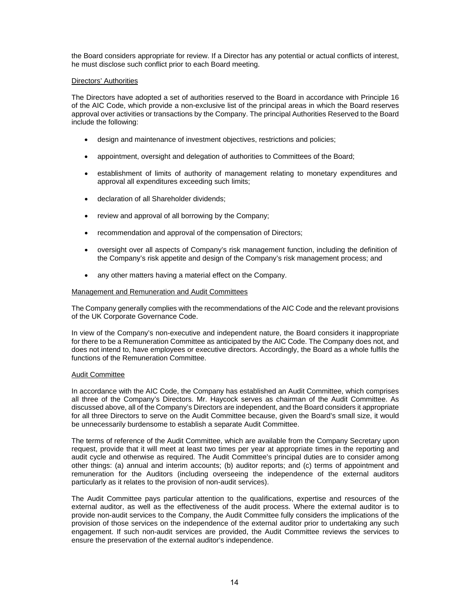the Board considers appropriate for review. If a Director has any potential or actual conflicts of interest, he must disclose such conflict prior to each Board meeting.

#### Directors' Authorities

The Directors have adopted a set of authorities reserved to the Board in accordance with Principle 16 of the AIC Code, which provide a non-exclusive list of the principal areas in which the Board reserves approval over activities or transactions by the Company. The principal Authorities Reserved to the Board include the following:

- design and maintenance of investment objectives, restrictions and policies;
- appointment, oversight and delegation of authorities to Committees of the Board;
- establishment of limits of authority of management relating to monetary expenditures and approval all expenditures exceeding such limits;
- declaration of all Shareholder dividends;
- review and approval of all borrowing by the Company;
- recommendation and approval of the compensation of Directors;
- oversight over all aspects of Company's risk management function, including the definition of the Company's risk appetite and design of the Company's risk management process; and
- any other matters having a material effect on the Company.

### Management and Remuneration and Audit Committees

The Company generally complies with the recommendations of the AIC Code and the relevant provisions of the UK Corporate Governance Code.

In view of the Company's non-executive and independent nature, the Board considers it inappropriate for there to be a Remuneration Committee as anticipated by the AIC Code. The Company does not, and does not intend to, have employees or executive directors. Accordingly, the Board as a whole fulfils the functions of the Remuneration Committee.

### Audit Committee

In accordance with the AIC Code, the Company has established an Audit Committee, which comprises all three of the Company's Directors. Mr. Haycock serves as chairman of the Audit Committee. As discussed above, all of the Company's Directors are independent, and the Board considers it appropriate for all three Directors to serve on the Audit Committee because, given the Board's small size, it would be unnecessarily burdensome to establish a separate Audit Committee.

The terms of reference of the Audit Committee, which are available from the Company Secretary upon request, provide that it will meet at least two times per year at appropriate times in the reporting and audit cycle and otherwise as required. The Audit Committee's principal duties are to consider among other things: (a) annual and interim accounts; (b) auditor reports; and (c) terms of appointment and remuneration for the Auditors (including overseeing the independence of the external auditors particularly as it relates to the provision of non-audit services).

The Audit Committee pays particular attention to the qualifications, expertise and resources of the external auditor, as well as the effectiveness of the audit process. Where the external auditor is to provide non-audit services to the Company, the Audit Committee fully considers the implications of the provision of those services on the independence of the external auditor prior to undertaking any such engagement. If such non-audit services are provided, the Audit Committee reviews the services to ensure the preservation of the external auditor's independence.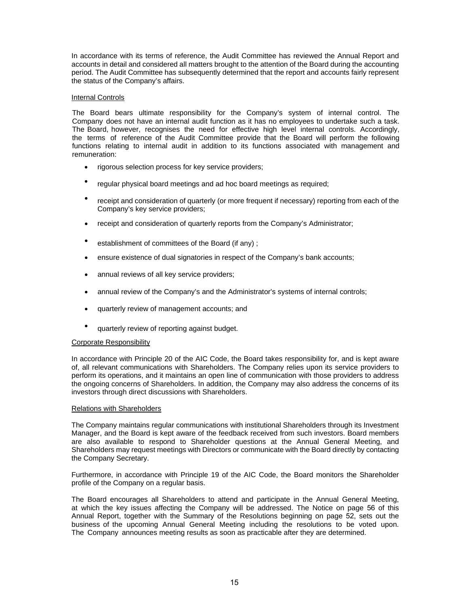In accordance with its terms of reference, the Audit Committee has reviewed the Annual Report and accounts in detail and considered all matters brought to the attention of the Board during the accounting period. The Audit Committee has subsequently determined that the report and accounts fairly represent the status of the Company's affairs.

### Internal Controls

The Board bears ultimate responsibility for the Company's system of internal control. The Company does not have an internal audit function as it has no employees to undertake such a task. The Board, however, recognises the need for effective high level internal controls. Accordingly, the terms of reference of the Audit Committee provide that the Board will perform the following functions relating to internal audit in addition to its functions associated with management and remuneration:

- rigorous selection process for key service providers;
- regular physical board meetings and ad hoc board meetings as required;
- receipt and consideration of quarterly (or more frequent if necessary) reporting from each of the Company's key service providers;
- receipt and consideration of quarterly reports from the Company's Administrator;
- establishment of committees of the Board (if any) ;
- ensure existence of dual signatories in respect of the Company's bank accounts;
- annual reviews of all key service providers:
- annual review of the Company's and the Administrator's systems of internal controls;
- quarterly review of management accounts; and
- quarterly review of reporting against budget.

### Corporate Responsibility

In accordance with Principle 20 of the AIC Code, the Board takes responsibility for, and is kept aware of, all relevant communications with Shareholders. The Company relies upon its service providers to perform its operations, and it maintains an open line of communication with those providers to address the ongoing concerns of Shareholders. In addition, the Company may also address the concerns of its investors through direct discussions with Shareholders.

### Relations with Shareholders

The Company maintains regular communications with institutional Shareholders through its Investment Manager, and the Board is kept aware of the feedback received from such investors. Board members are also available to respond to Shareholder questions at the Annual General Meeting, and Shareholders may request meetings with Directors or communicate with the Board directly by contacting the Company Secretary.

Furthermore, in accordance with Principle 19 of the AIC Code, the Board monitors the Shareholder profile of the Company on a regular basis.

The Board encourages all Shareholders to attend and participate in the Annual General Meeting, at which the key issues affecting the Company will be addressed. The Notice on page 56 of this Annual Report, together with the Summary of the Resolutions beginning on page 52, sets out the business of the upcoming Annual General Meeting including the resolutions to be voted upon. The Company announces meeting results as soon as practicable after they are determined.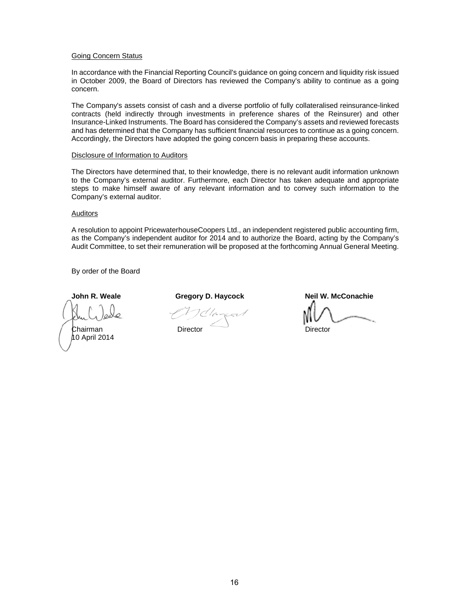#### Going Concern Status

In accordance with the Financial Reporting Council's guidance on going concern and liquidity risk issued in October 2009, the Board of Directors has reviewed the Company's ability to continue as a going concern.

The Company's assets consist of cash and a diverse portfolio of fully collateralised reinsurance-linked contracts (held indirectly through investments in preference shares of the Reinsurer) and other Insurance-Linked Instruments. The Board has considered the Company's assets and reviewed forecasts and has determined that the Company has sufficient financial resources to continue as a going concern. Accordingly, the Directors have adopted the going concern basis in preparing these accounts.

#### Disclosure of Information to Auditors

The Directors have determined that, to their knowledge, there is no relevant audit information unknown to the Company's external auditor. Furthermore, each Director has taken adequate and appropriate steps to make himself aware of any relevant information and to convey such information to the Company's external auditor.

#### Auditors

A resolution to appoint PricewaterhouseCoopers Ltd., an independent registered public accounting firm, as the Company's independent auditor for 2014 and to authorize the Board, acting by the Company's Audit Committee, to set their remuneration will be proposed at the forthcoming Annual General Meeting.

By order of the Board

10 April 2014

**Chairman** Director **Director** Director **Director** 

**John R. Weale Gregory D. Haycock Neil W. McConachie**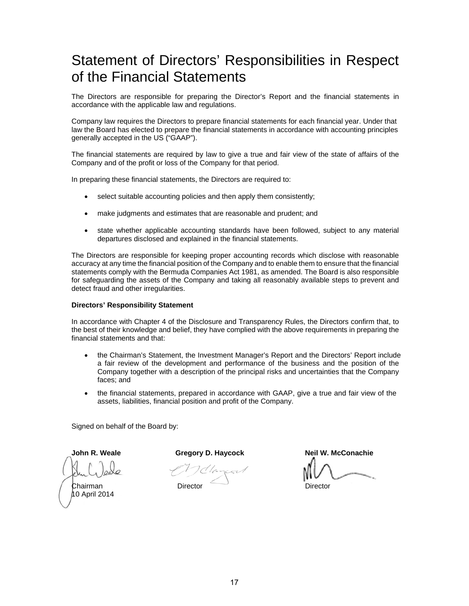# Statement of Directors' Responsibilities in Respect of the Financial Statements

The Directors are responsible for preparing the Director's Report and the financial statements in accordance with the applicable law and regulations.

Company law requires the Directors to prepare financial statements for each financial year. Under that law the Board has elected to prepare the financial statements in accordance with accounting principles generally accepted in the US ("GAAP").

The financial statements are required by law to give a true and fair view of the state of affairs of the Company and of the profit or loss of the Company for that period.

In preparing these financial statements, the Directors are required to:

- select suitable accounting policies and then apply them consistently;
- make judgments and estimates that are reasonable and prudent; and
- state whether applicable accounting standards have been followed, subject to any material departures disclosed and explained in the financial statements.

The Directors are responsible for keeping proper accounting records which disclose with reasonable accuracy at any time the financial position of the Company and to enable them to ensure that the financial statements comply with the Bermuda Companies Act 1981, as amended. The Board is also responsible for safeguarding the assets of the Company and taking all reasonably available steps to prevent and detect fraud and other irregularities.

#### **Directors' Responsibility Statement**

In accordance with Chapter 4 of the Disclosure and Transparency Rules, the Directors confirm that, to the best of their knowledge and belief, they have complied with the above requirements in preparing the financial statements and that:

- the Chairman's Statement, the Investment Manager's Report and the Directors' Report include a fair review of the development and performance of the business and the position of the Company together with a description of the principal risks and uncertainties that the Company faces; and
- the financial statements, prepared in accordance with GAAP, give a true and fair view of the assets, liabilities, financial position and profit of the Company.

Signed on behalf of the Board by:

10 April 2014

Iclaycool Chairman Director Director

**John R. Weale Gregory D. Haycock Neil W. McConachie**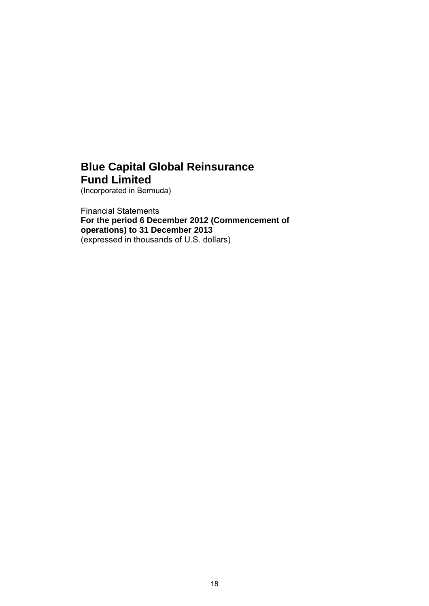(Incorporated in Bermuda)

Financial Statements **For the period 6 December 2012 (Commencement of operations) to 31 December 2013** (expressed in thousands of U.S. dollars)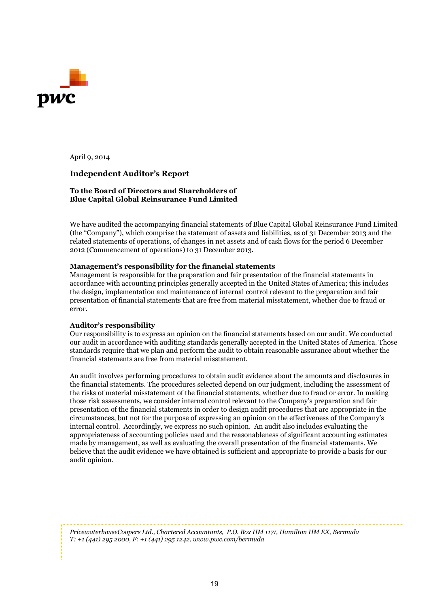

April 9, 2014

### **Independent Auditor's Report**

### **To the Board of Directors and Shareholders of Blue Capital Global Reinsurance Fund Limited**

We have audited the accompanying financial statements of Blue Capital Global Reinsurance Fund Limited (the "Company"), which comprise the statement of assets and liabilities, as of 31 December 2013 and the related statements of operations, of changes in net assets and of cash flows for the period 6 December 2012 (Commencement of operations) to 31 December 2013.

### **Management's responsibility for the financial statements**

Management is responsible for the preparation and fair presentation of the financial statements in accordance with accounting principles generally accepted in the United States of America; this includes the design, implementation and maintenance of internal control relevant to the preparation and fair presentation of financial statements that are free from material misstatement, whether due to fraud or error.

### **Auditor's responsibility**

Our responsibility is to express an opinion on the financial statements based on our audit. We conducted our audit in accordance with auditing standards generally accepted in the United States of America. Those standards require that we plan and perform the audit to obtain reasonable assurance about whether the financial statements are free from material misstatement.

An audit involves performing procedures to obtain audit evidence about the amounts and disclosures in the financial statements. The procedures selected depend on our judgment, including the assessment of the risks of material misstatement of the financial statements, whether due to fraud or error. In making those risk assessments, we consider internal control relevant to the Company's preparation and fair presentation of the financial statements in order to design audit procedures that are appropriate in the circumstances, but not for the purpose of expressing an opinion on the effectiveness of the Company's internal control. Accordingly, we express no such opinion. An audit also includes evaluating the appropriateness of accounting policies used and the reasonableness of significant accounting estimates made by management, as well as evaluating the overall presentation of the financial statements. We believe that the audit evidence we have obtained is sufficient and appropriate to provide a basis for our audit opinion.

*PricewaterhouseCoopers Ltd., Chartered Accountants, P.O. Box HM 1171, Hamilton HM EX, Bermuda T: +1 (441) 295 2000, F: +1 (441) 295 1242, www.pwc.com/bermuda*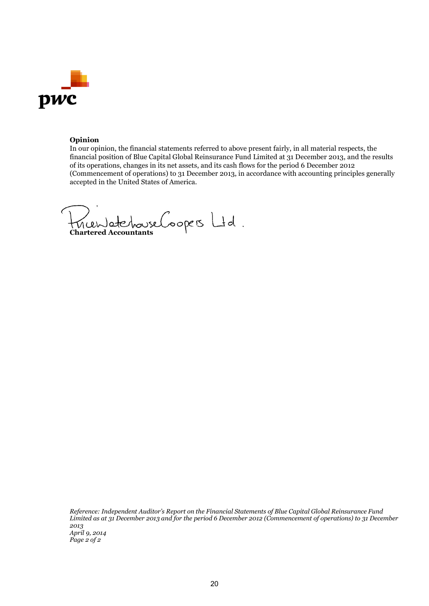

### **Opinion**

In our opinion, the financial statements referred to above present fairly, in all material respects, the financial position of Blue Capital Global Reinsurance Fund Limited at 31 December 2013, and the results of its operations, changes in its net assets, and its cash flows for the period 6 December 2012 (Commencement of operations) to 31 December 2013, in accordance with accounting principles generally accepted in the United States of America.

**Chartered Accountants**

*Reference: Independent Auditor's Report on the Financial Statements of Blue Capital Global Reinsurance Fund Limited as at 31 December 2013 and for the period 6 December 2012 (Commencement of operations) to 31 December 2013 April 9, 2014 Page 2 of 2*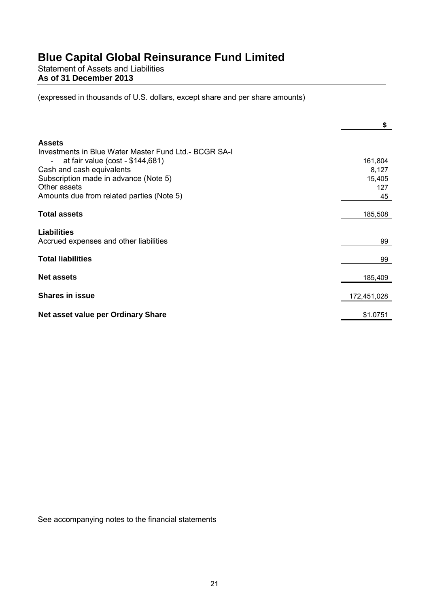Statement of Assets and Liabilities **As of 31 December 2013**

(expressed in thousands of U.S. dollars, except share and per share amounts)

| \$          |
|-------------|
|             |
|             |
| 161,804     |
| 8,127       |
| 15,405      |
| 127         |
| 45          |
| 185,508     |
|             |
| 99          |
| 99          |
| 185,409     |
| 172,451,028 |
| \$1.0751    |
|             |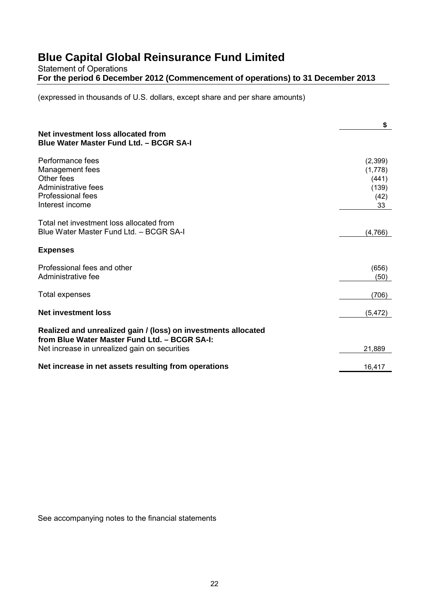Statement of Operations

**For the period 6 December 2012 (Commencement of operations) to 31 December 2013**

(expressed in thousands of U.S. dollars, except share and per share amounts)

|                                                                                                                                                                  | \$                                                 |
|------------------------------------------------------------------------------------------------------------------------------------------------------------------|----------------------------------------------------|
| Net investment loss allocated from<br>Blue Water Master Fund Ltd. - BCGR SA-I                                                                                    |                                                    |
| Performance fees<br>Management fees<br>Other fees<br>Administrative fees<br>Professional fees<br>Interest income                                                 | (2,399)<br>(1,778)<br>(441)<br>(139)<br>(42)<br>33 |
| Total net investment loss allocated from<br>Blue Water Master Fund Ltd. - BCGR SA-I                                                                              | (4,766)                                            |
| <b>Expenses</b>                                                                                                                                                  |                                                    |
| Professional fees and other<br>Administrative fee                                                                                                                | (656)<br>(50)                                      |
| Total expenses                                                                                                                                                   | (706)                                              |
| <b>Net investment loss</b>                                                                                                                                       | (5, 472)                                           |
| Realized and unrealized gain / (loss) on investments allocated<br>from Blue Water Master Fund Ltd. - BCGR SA-I:<br>Net increase in unrealized gain on securities | 21,889                                             |
| Net increase in net assets resulting from operations                                                                                                             | 16,417                                             |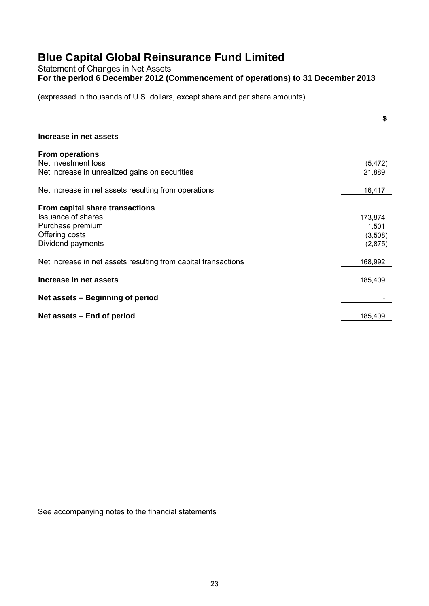Statement of Changes in Net Assets

**For the period 6 December 2012 (Commencement of operations) to 31 December 2013**

(expressed in thousands of U.S. dollars, except share and per share amounts)

|                                                                                                                         | \$                                     |
|-------------------------------------------------------------------------------------------------------------------------|----------------------------------------|
| Increase in net assets                                                                                                  |                                        |
| <b>From operations</b><br>Net investment loss<br>Net increase in unrealized gains on securities                         | (5, 472)<br>21,889                     |
| Net increase in net assets resulting from operations                                                                    | 16,417                                 |
| From capital share transactions<br><b>Issuance of shares</b><br>Purchase premium<br>Offering costs<br>Dividend payments | 173,874<br>1,501<br>(3,508)<br>(2,875) |
| Net increase in net assets resulting from capital transactions                                                          | 168,992                                |
| Increase in net assets                                                                                                  | 185,409                                |
| Net assets – Beginning of period                                                                                        |                                        |
| Net assets – End of period                                                                                              | 185,409                                |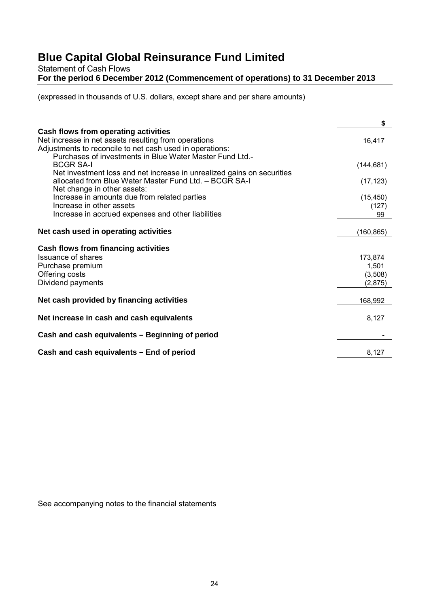Statement of Cash Flows

**For the period 6 December 2012 (Commencement of operations) to 31 December 2013**

(expressed in thousands of U.S. dollars, except share and per share amounts)

|                                                                                       | \$         |
|---------------------------------------------------------------------------------------|------------|
| Cash flows from operating activities                                                  |            |
| Net increase in net assets resulting from operations                                  | 16,417     |
| Adjustments to reconcile to net cash used in operations:                              |            |
| Purchases of investments in Blue Water Master Fund Ltd.-                              |            |
| <b>BCGR SA-I</b>                                                                      | (144, 681) |
| Net investment loss and net increase in unrealized gains on securities                |            |
| allocated from Blue Water Master Fund Ltd. - BCGR SA-I<br>Net change in other assets: | (17, 123)  |
| Increase in amounts due from related parties                                          | (15, 450)  |
| Increase in other assets                                                              | (127)      |
| Increase in accrued expenses and other liabilities                                    | 99         |
|                                                                                       |            |
| Net cash used in operating activities                                                 | (160, 865) |
| Cash flows from financing activities                                                  |            |
| <b>Issuance of shares</b>                                                             | 173,874    |
| Purchase premium                                                                      | 1,501      |
| Offering costs                                                                        | (3,508)    |
| Dividend payments                                                                     | (2,875)    |
|                                                                                       |            |
| Net cash provided by financing activities                                             | 168,992    |
| Net increase in cash and cash equivalents                                             | 8,127      |
|                                                                                       |            |
| Cash and cash equivalents - Beginning of period                                       |            |
| Cash and cash equivalents – End of period                                             | 8,127      |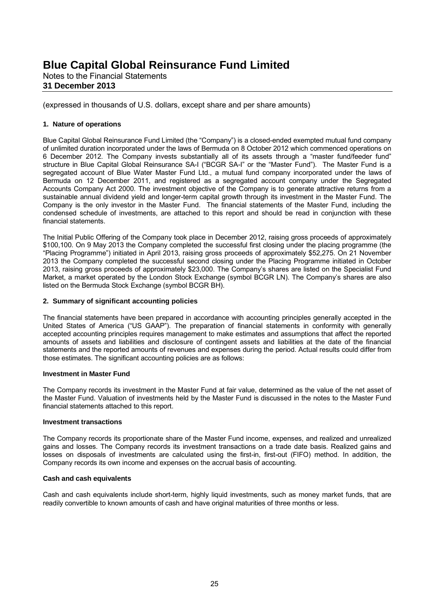Notes to the Financial Statements **31 December 2013**

(expressed in thousands of U.S. dollars, except share and per share amounts)

### **1. Nature of operations**

Blue Capital Global Reinsurance Fund Limited (the "Company") is a closed-ended exempted mutual fund company of unlimited duration incorporated under the laws of Bermuda on 8 October 2012 which commenced operations on 6 December 2012. The Company invests substantially all of its assets through a "master fund/feeder fund" structure in Blue Capital Global Reinsurance SA-I ("BCGR SA-I" or the "Master Fund"). The Master Fund is a segregated account of Blue Water Master Fund Ltd., a mutual fund company incorporated under the laws of Bermuda on 12 December 2011, and registered as a segregated account company under the Segregated Accounts Company Act 2000. The investment objective of the Company is to generate attractive returns from a sustainable annual dividend yield and longer-term capital growth through its investment in the Master Fund. The Company is the only investor in the Master Fund. The financial statements of the Master Fund, including the condensed schedule of investments, are attached to this report and should be read in conjunction with these financial statements.

The Initial Public Offering of the Company took place in December 2012, raising gross proceeds of approximately \$100,100. On 9 May 2013 the Company completed the successful first closing under the placing programme (the "Placing Programme") initiated in April 2013, raising gross proceeds of approximately \$52,275. On 21 November 2013 the Company completed the successful second closing under the Placing Programme initiated in October 2013, raising gross proceeds of approximately \$23,000. The Company's shares are listed on the Specialist Fund Market, a market operated by the London Stock Exchange (symbol BCGR LN). The Company's shares are also listed on the Bermuda Stock Exchange (symbol BCGR BH).

### **2. Summary of significant accounting policies**

The financial statements have been prepared in accordance with accounting principles generally accepted in the United States of America ("US GAAP"). The preparation of financial statements in conformity with generally accepted accounting principles requires management to make estimates and assumptions that affect the reported amounts of assets and liabilities and disclosure of contingent assets and liabilities at the date of the financial statements and the reported amounts of revenues and expenses during the period. Actual results could differ from those estimates. The significant accounting policies are as follows:

### **Investment in Master Fund**

The Company records its investment in the Master Fund at fair value, determined as the value of the net asset of the Master Fund. Valuation of investments held by the Master Fund is discussed in the notes to the Master Fund financial statements attached to this report.

### **Investment transactions**

The Company records its proportionate share of the Master Fund income, expenses, and realized and unrealized gains and losses. The Company records its investment transactions on a trade date basis. Realized gains and losses on disposals of investments are calculated using the first-in, first-out (FIFO) method. In addition, the Company records its own income and expenses on the accrual basis of accounting.

### **Cash and cash equivalents**

Cash and cash equivalents include short-term, highly liquid investments, such as money market funds, that are readily convertible to known amounts of cash and have original maturities of three months or less.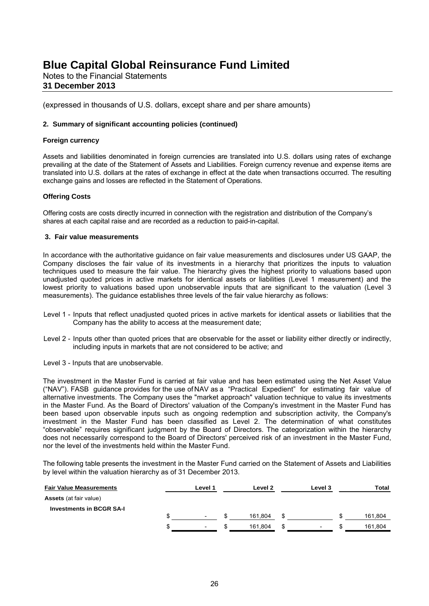Notes to the Financial Statements **31 December 2013**

(expressed in thousands of U.S. dollars, except share and per share amounts)

### **2. Summary of significant accounting policies (continued)**

### **Foreign currency**

Assets and liabilities denominated in foreign currencies are translated into U.S. dollars using rates of exchange prevailing at the date of the Statement of Assets and Liabilities. Foreign currency revenue and expense items are translated into U.S. dollars at the rates of exchange in effect at the date when transactions occurred. The resulting exchange gains and losses are reflected in the Statement of Operations.

### **Offering Costs**

Offering costs are costs directly incurred in connection with the registration and distribution of the Company's shares at each capital raise and are recorded as a reduction to paid-in-capital.

### **3. Fair value measurements**

In accordance with the authoritative guidance on fair value measurements and disclosures under US GAAP, the Company discloses the fair value of its investments in a hierarchy that prioritizes the inputs to valuation techniques used to measure the fair value. The hierarchy gives the highest priority to valuations based upon unadjusted quoted prices in active markets for identical assets or liabilities (Level 1 measurement) and the lowest priority to valuations based upon unobservable inputs that are significant to the valuation (Level 3 measurements). The guidance establishes three levels of the fair value hierarchy as follows:

- Level 1 Inputs that reflect unadjusted quoted prices in active markets for identical assets or liabilities that the Company has the ability to access at the measurement date;
- Level 2 Inputs other than quoted prices that are observable for the asset or liability either directly or indirectly, including inputs in markets that are not considered to be active; and
- Level 3 Inputs that are unobservable.

The investment in the Master Fund is carried at fair value and has been estimated using the Net Asset Value ("NAV"). FASB guidance provides for the use of NAV as a "Practical Expedient" for estimating fair value of alternative investments. The Company uses the "market approach" valuation technique to value its investments in the Master Fund. As the Board of Directors' valuation of the Company's investment in the Master Fund has been based upon observable inputs such as ongoing redemption and subscription activity, the Company's investment in the Master Fund has been classified as Level 2. The determination of what constitutes "observable" requires significant judgment by the Board of Directors. The categorization within the hierarchy does not necessarily correspond to the Board of Directors' perceived risk of an investment in the Master Fund, nor the level of the investments held within the Master Fund.

The following table presents the investment in the Master Fund carried on the Statement of Assets and Liabilities by level within the valuation hierarchy as of 31 December 2013.

| <b>Fair Value Measurements</b>  |   | Level 1                  |     | Level 2 | Level 3                  |    | Total   |
|---------------------------------|---|--------------------------|-----|---------|--------------------------|----|---------|
| <b>Assets</b> (at fair value)   |   |                          |     |         |                          |    |         |
| <b>Investments in BCGR SA-I</b> |   |                          |     |         |                          |    |         |
|                                 |   | $\overline{\phantom{0}}$ | ъ   | 161.804 |                          | ۰D | 161,804 |
|                                 | S | $\overline{\phantom{0}}$ | Эħ. | 161.804 | $\overline{\phantom{0}}$ | S  | 161,804 |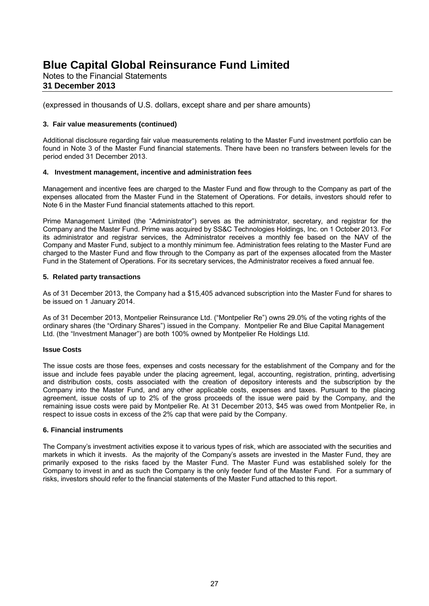Notes to the Financial Statements **31 December 2013**

(expressed in thousands of U.S. dollars, except share and per share amounts)

### **3. Fair value measurements (continued)**

Additional disclosure regarding fair value measurements relating to the Master Fund investment portfolio can be found in Note 3 of the Master Fund financial statements. There have been no transfers between levels for the period ended 31 December 2013.

### **4. Investment management, incentive and administration fees**

Management and incentive fees are charged to the Master Fund and flow through to the Company as part of the expenses allocated from the Master Fund in the Statement of Operations. For details, investors should refer to Note 6 in the Master Fund financial statements attached to this report.

Prime Management Limited (the "Administrator") serves as the administrator, secretary, and registrar for the Company and the Master Fund. Prime was acquired by SS&C Technologies Holdings, Inc. on 1 October 2013. For its administrator and registrar services, the Administrator receives a monthly fee based on the NAV of the Company and Master Fund, subject to a monthly minimum fee. Administration fees relating to the Master Fund are charged to the Master Fund and flow through to the Company as part of the expenses allocated from the Master Fund in the Statement of Operations. For its secretary services, the Administrator receives a fixed annual fee.

### **5. Related party transactions**

As of 31 December 2013, the Company had a \$15,405 advanced subscription into the Master Fund for shares to be issued on 1 January 2014.

As of 31 December 2013, Montpelier Reinsurance Ltd. ("Montpelier Re") owns 29.0% of the voting rights of the ordinary shares (the "Ordinary Shares") issued in the Company. Montpelier Re and Blue Capital Management Ltd. (the "Investment Manager") are both 100% owned by Montpelier Re Holdings Ltd.

#### **Issue Costs**

The issue costs are those fees, expenses and costs necessary for the establishment of the Company and for the issue and include fees payable under the placing agreement, legal, accounting, registration, printing, advertising and distribution costs, costs associated with the creation of depository interests and the subscription by the Company into the Master Fund, and any other applicable costs, expenses and taxes. Pursuant to the placing agreement, issue costs of up to 2% of the gross proceeds of the issue were paid by the Company, and the remaining issue costs were paid by Montpelier Re. At 31 December 2013, \$45 was owed from Montpelier Re, in respect to issue costs in excess of the 2% cap that were paid by the Company.

### **6. Financial instruments**

The Company's investment activities expose it to various types of risk, which are associated with the securities and markets in which it invests. As the majority of the Company's assets are invested in the Master Fund, they are primarily exposed to the risks faced by the Master Fund. The Master Fund was established solely for the Company to invest in and as such the Company is the only feeder fund of the Master Fund. For a summary of risks, investors should refer to the financial statements of the Master Fund attached to this report.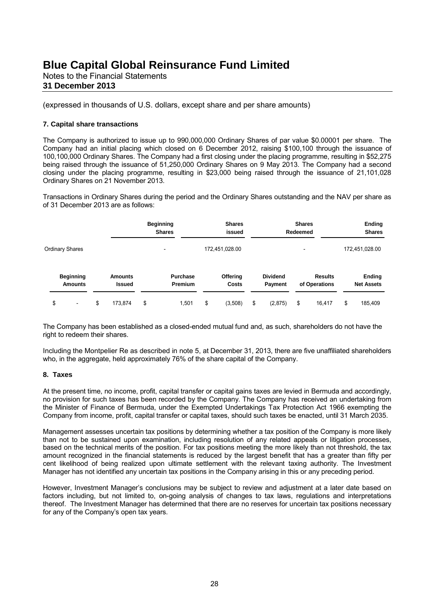Notes to the Financial Statements **31 December 2013**

### (expressed in thousands of U.S. dollars, except share and per share amounts)

### **7. Capital share transactions**

The Company is authorized to issue up to 990,000,000 Ordinary Shares of par value \$0.00001 per share. The Company had an initial placing which closed on 6 December 2012, raising \$100,100 through the issuance of 100,100,000 Ordinary Shares. The Company had a first closing under the placing programme, resulting in \$52,275 being raised through the issuance of 51,250,000 Ordinary Shares on 9 May 2013. The Company had a second closing under the placing programme, resulting in \$23,000 being raised through the issuance of 21,101,028 Ordinary Shares on 21 November 2013.

Transactions in Ordinary Shares during the period and the Ordinary Shares outstanding and the NAV per share as of 31 December 2013 are as follows:

|                 |                                    |                                 | <b>Beginning</b><br><b>Shares</b> | <b>Shares</b><br>issued |                            | <b>Shares</b><br>Redeemed |                                 | Ending<br><b>Shares</b>     |
|-----------------|------------------------------------|---------------------------------|-----------------------------------|-------------------------|----------------------------|---------------------------|---------------------------------|-----------------------------|
| Ordinary Shares |                                    |                                 | $\overline{\phantom{a}}$          | 172,451,028.00          |                            | $\overline{\phantom{0}}$  |                                 | 172,451,028.00              |
|                 | <b>Beginning</b><br><b>Amounts</b> | <b>Amounts</b><br><b>Issued</b> | <b>Purchase</b><br><b>Premium</b> | Offering<br>Costs       | <b>Dividend</b><br>Payment |                           | <b>Results</b><br>of Operations | Ending<br><b>Net Assets</b> |
| \$              | $\overline{\phantom{a}}$           | \$<br>173.874                   | \$<br>1.501                       | \$<br>(3,508)           | \$<br>(2,875)              | \$                        | 16,417                          | \$<br>185,409               |

The Company has been established as a closed-ended mutual fund and, as such, shareholders do not have the right to redeem their shares.

Including the Montpelier Re as described in note 5, at December 31, 2013, there are five unaffiliated shareholders who, in the aggregate, held approximately 76% of the share capital of the Company.

### **8. Taxes**

At the present time, no income, profit, capital transfer or capital gains taxes are levied in Bermuda and accordingly, no provision for such taxes has been recorded by the Company. The Company has received an undertaking from the Minister of Finance of Bermuda, under the Exempted Undertakings Tax Protection Act 1966 exempting the Company from income, profit, capital transfer or capital taxes, should such taxes be enacted, until 31 March 2035.

Management assesses uncertain tax positions by determining whether a tax position of the Company is more likely than not to be sustained upon examination, including resolution of any related appeals or litigation processes, based on the technical merits of the position. For tax positions meeting the more likely than not threshold, the tax amount recognized in the financial statements is reduced by the largest benefit that has a greater than fifty per cent likelihood of being realized upon ultimate settlement with the relevant taxing authority. The Investment Manager has not identified any uncertain tax positions in the Company arising in this or any preceding period.

However, Investment Manager's conclusions may be subject to review and adjustment at a later date based on factors including, but not limited to, on-going analysis of changes to tax laws, regulations and interpretations thereof. The Investment Manager has determined that there are no reserves for uncertain tax positions necessary for any of the Company's open tax years.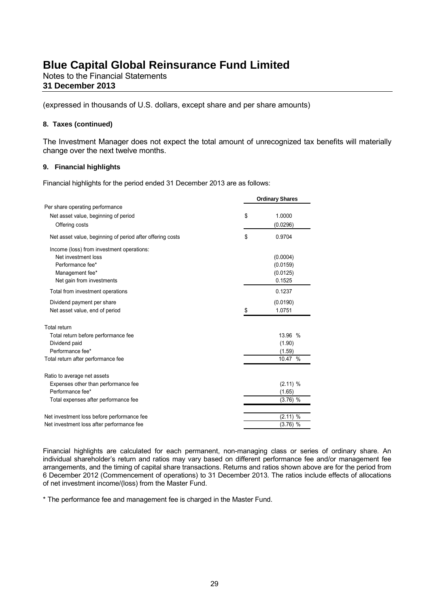Notes to the Financial Statements **31 December 2013**

(expressed in thousands of U.S. dollars, except share and per share amounts)

### **8. Taxes (continued)**

The Investment Manager does not expect the total amount of unrecognized tax benefits will materially change over the next twelve months.

### **9. Financial highlights**

Financial highlights for the period ended 31 December 2013 are as follows:

|                                                                                                                                      | <b>Ordinary Shares</b>                     |
|--------------------------------------------------------------------------------------------------------------------------------------|--------------------------------------------|
| Per share operating performance<br>Net asset value, beginning of period<br>Offering costs                                            | \$<br>1.0000<br>(0.0296)                   |
| Net asset value, beginning of period after offering costs                                                                            | \$<br>0.9704                               |
| Income (loss) from investment operations:<br>Net investment loss<br>Performance fee*<br>Management fee*<br>Net gain from investments | (0.0004)<br>(0.0159)<br>(0.0125)<br>0.1525 |
| Total from investment operations                                                                                                     | 0.1237                                     |
| Dividend payment per share<br>Net asset value, end of period                                                                         | \$<br>(0.0190)<br>1.0751                   |
| Total return                                                                                                                         |                                            |
| Total return before performance fee                                                                                                  | 13.96 %                                    |
| Dividend paid                                                                                                                        | (1.90)                                     |
| Performance fee*                                                                                                                     | (1.59)                                     |
| Total return after performance fee                                                                                                   | 10.47 %                                    |
| Ratio to average net assets                                                                                                          |                                            |
| Expenses other than performance fee                                                                                                  | $(2.11)$ %                                 |
| Performance fee*                                                                                                                     | (1.65)                                     |
| Total expenses after performance fee                                                                                                 | $(3.76)$ %                                 |
| Net investment loss before performance fee                                                                                           | (2.11) %                                   |
| Net investment loss after performance fee                                                                                            | $(3.76)$ %                                 |

Financial highlights are calculated for each permanent, non-managing class or series of ordinary share. An individual shareholder's return and ratios may vary based on different performance fee and/or management fee arrangements, and the timing of capital share transactions. Returns and ratios shown above are for the period from 6 December 2012 (Commencement of operations) to 31 December 2013. The ratios include effects of allocations of net investment income/(loss) from the Master Fund.

\* The performance fee and management fee is charged in the Master Fund.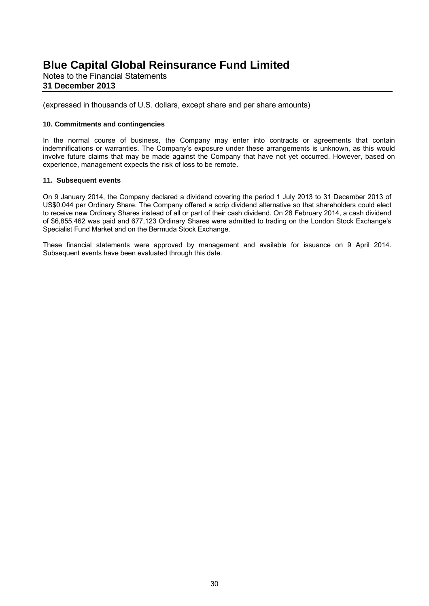Notes to the Financial Statements **31 December 2013**

(expressed in thousands of U.S. dollars, except share and per share amounts)

### **10. Commitments and contingencies**

In the normal course of business, the Company may enter into contracts or agreements that contain indemnifications or warranties. The Company's exposure under these arrangements is unknown, as this would involve future claims that may be made against the Company that have not yet occurred. However, based on experience, management expects the risk of loss to be remote.

### **11. Subsequent events**

On 9 January 2014, the Company declared a dividend covering the period 1 July 2013 to 31 December 2013 of US\$0.044 per Ordinary Share. The Company offered a scrip dividend alternative so that shareholders could elect to receive new Ordinary Shares instead of all or part of their cash dividend. On 28 February 2014, a cash dividend of \$6,855,462 was paid and 677,123 Ordinary Shares were admitted to trading on the London Stock Exchange's Specialist Fund Market and on the Bermuda Stock Exchange.

These financial statements were approved by management and available for issuance on 9 April 2014. Subsequent events have been evaluated through this date.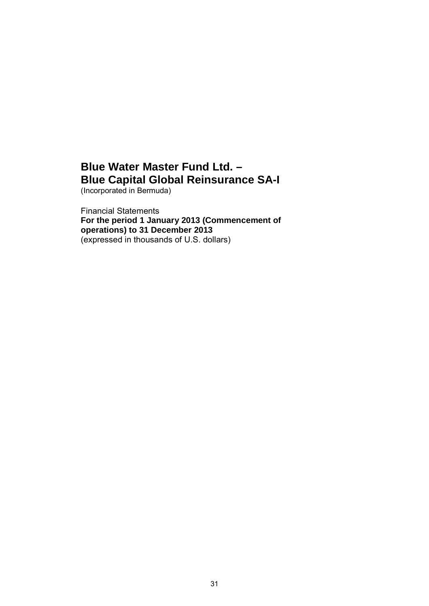(Incorporated in Bermuda)

Financial Statements **For the period 1 January 2013 (Commencement of operations) to 31 December 2013** (expressed in thousands of U.S. dollars)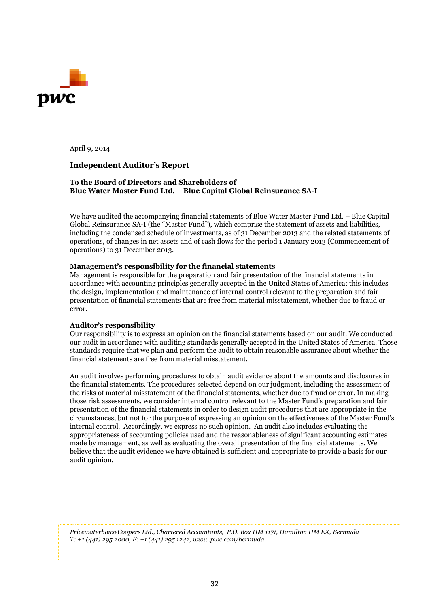

April 9, 2014

### **Independent Auditor's Report**

### **To the Board of Directors and Shareholders of Blue Water Master Fund Ltd. – Blue Capital Global Reinsurance SA-I**

We have audited the accompanying financial statements of Blue Water Master Fund Ltd. – Blue Capital Global Reinsurance SA-I (the "Master Fund"), which comprise the statement of assets and liabilities, including the condensed schedule of investments, as of 31 December 2013 and the related statements of operations, of changes in net assets and of cash flows for the period 1 January 2013 (Commencement of operations) to 31 December 2013.

### **Management's responsibility for the financial statements**

Management is responsible for the preparation and fair presentation of the financial statements in accordance with accounting principles generally accepted in the United States of America; this includes the design, implementation and maintenance of internal control relevant to the preparation and fair presentation of financial statements that are free from material misstatement, whether due to fraud or error.

### **Auditor's responsibility**

Our responsibility is to express an opinion on the financial statements based on our audit. We conducted our audit in accordance with auditing standards generally accepted in the United States of America. Those standards require that we plan and perform the audit to obtain reasonable assurance about whether the financial statements are free from material misstatement.

An audit involves performing procedures to obtain audit evidence about the amounts and disclosures in the financial statements. The procedures selected depend on our judgment, including the assessment of the risks of material misstatement of the financial statements, whether due to fraud or error. In making those risk assessments, we consider internal control relevant to the Master Fund's preparation and fair presentation of the financial statements in order to design audit procedures that are appropriate in the circumstances, but not for the purpose of expressing an opinion on the effectiveness of the Master Fund's internal control. Accordingly, we express no such opinion. An audit also includes evaluating the appropriateness of accounting policies used and the reasonableness of significant accounting estimates made by management, as well as evaluating the overall presentation of the financial statements. We believe that the audit evidence we have obtained is sufficient and appropriate to provide a basis for our audit opinion.

*PricewaterhouseCoopers Ltd., Chartered Accountants, P.O. Box HM 1171, Hamilton HM EX, Bermuda T: +1 (441) 295 2000, F: +1 (441) 295 1242, www.pwc.com/bermuda*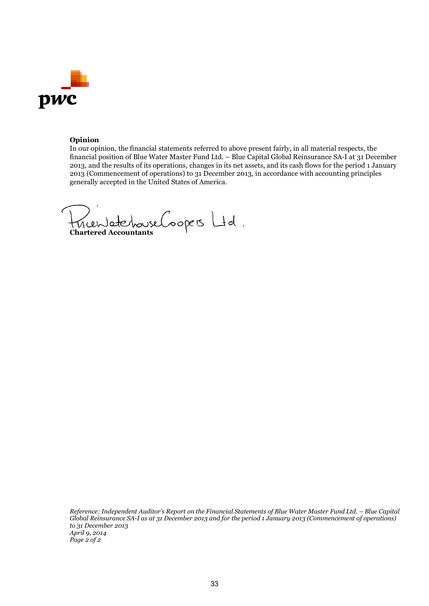

### **Opinion**

In our opinion, the financial statements referred to above present fairly, in all material respects, the financial position of Blue Water Master Fund Ltd. – Blue Capital Global Reinsurance SA-I at 31 December 2013, and the results of its operations, changes in its net assets, and its cash flows for the period 1 January 2013 (Commencement of operations) to 31 December 2013, in accordance with accounting principles generally accepted in the United States of America.

**Chartered Accountants**

*Reference: Independent Auditor's Report on the Financial Statements of Blue Water Master Fund Ltd. – Blue Capital Global Reinsurance SA-I as at 31 December 2013 and for the period 1 January 2013 (Commencement of operations) to 31 December 2013 April 9, 2014 Page 2 of 2*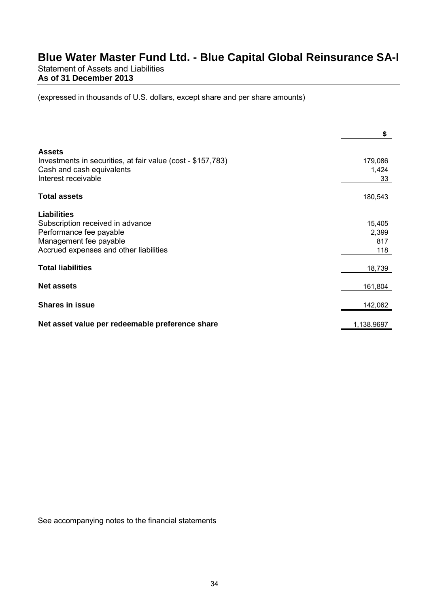Statement of Assets and Liabilities **As of 31 December 2013**

(expressed in thousands of U.S. dollars, except share and per share amounts)

|                                                                                                                                                       | \$                            |
|-------------------------------------------------------------------------------------------------------------------------------------------------------|-------------------------------|
| <b>Assets</b><br>Investments in securities, at fair value (cost - \$157,783)<br>Cash and cash equivalents<br>Interest receivable                      | 179,086<br>1,424<br>33        |
| <b>Total assets</b>                                                                                                                                   | 180,543                       |
| <b>Liabilities</b><br>Subscription received in advance<br>Performance fee payable<br>Management fee payable<br>Accrued expenses and other liabilities | 15,405<br>2,399<br>817<br>118 |
| <b>Total liabilities</b>                                                                                                                              | 18,739                        |
| <b>Net assets</b>                                                                                                                                     | 161,804                       |
| <b>Shares in issue</b>                                                                                                                                | 142,062                       |
| Net asset value per redeemable preference share                                                                                                       | 1,138.9697                    |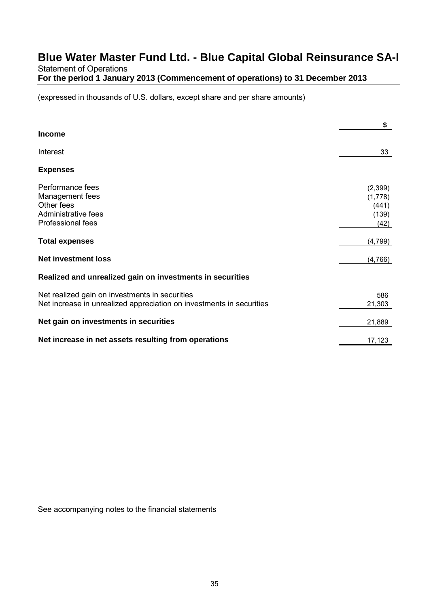Statement of Operations

**For the period 1 January 2013 (Commencement of operations) to 31 December 2013**

(expressed in thousands of U.S. dollars, except share and per share amounts)

|                                                                                                                        | \$                                           |
|------------------------------------------------------------------------------------------------------------------------|----------------------------------------------|
| <b>Income</b>                                                                                                          |                                              |
| Interest                                                                                                               | 33                                           |
| <b>Expenses</b>                                                                                                        |                                              |
| Performance fees<br>Management fees<br>Other fees<br>Administrative fees<br><b>Professional fees</b>                   | (2,399)<br>(1,778)<br>(441)<br>(139)<br>(42) |
| <b>Total expenses</b>                                                                                                  | (4, 799)                                     |
| <b>Net investment loss</b>                                                                                             | (4,766)                                      |
| Realized and unrealized gain on investments in securities                                                              |                                              |
| Net realized gain on investments in securities<br>Net increase in unrealized appreciation on investments in securities | 586<br>21,303                                |
| Net gain on investments in securities                                                                                  | 21,889                                       |
| Net increase in net assets resulting from operations                                                                   | 17,123                                       |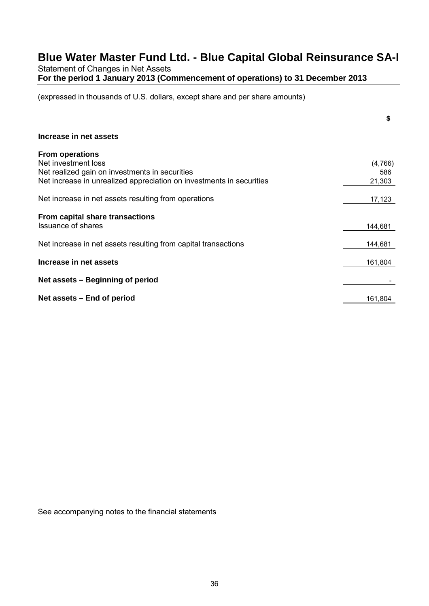Statement of Changes in Net Assets

**For the period 1 January 2013 (Commencement of operations) to 31 December 2013**

(expressed in thousands of U.S. dollars, except share and per share amounts)

|                                                                                                                                                                         | \$                       |
|-------------------------------------------------------------------------------------------------------------------------------------------------------------------------|--------------------------|
| Increase in net assets                                                                                                                                                  |                          |
| <b>From operations</b><br>Net investment loss<br>Net realized gain on investments in securities<br>Net increase in unrealized appreciation on investments in securities | (4,766)<br>586<br>21,303 |
| Net increase in net assets resulting from operations                                                                                                                    | 17,123                   |
| From capital share transactions<br><b>Issuance of shares</b>                                                                                                            | 144,681                  |
| Net increase in net assets resulting from capital transactions                                                                                                          | 144,681                  |
| Increase in net assets                                                                                                                                                  | 161,804                  |
| Net assets – Beginning of period                                                                                                                                        |                          |
| Net assets – End of period                                                                                                                                              | 161,804                  |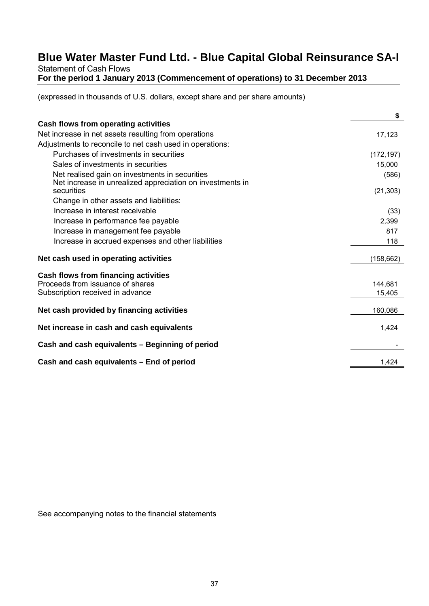Statement of Cash Flows

**For the period 1 January 2013 (Commencement of operations) to 31 December 2013**

(expressed in thousands of U.S. dollars, except share and per share amounts)

|                                                                                                             | \$         |
|-------------------------------------------------------------------------------------------------------------|------------|
| Cash flows from operating activities                                                                        |            |
| Net increase in net assets resulting from operations                                                        | 17,123     |
| Adjustments to reconcile to net cash used in operations:                                                    |            |
| Purchases of investments in securities                                                                      | (172, 197) |
| Sales of investments in securities                                                                          | 15,000     |
| Net realised gain on investments in securities<br>Net increase in unrealized appreciation on investments in | (586)      |
| securities                                                                                                  | (21, 303)  |
| Change in other assets and liabilities:                                                                     |            |
| Increase in interest receivable                                                                             | (33)       |
| Increase in performance fee payable                                                                         | 2,399      |
| Increase in management fee payable                                                                          | 817        |
| Increase in accrued expenses and other liabilities                                                          | 118        |
| Net cash used in operating activities                                                                       | (158, 662) |
| Cash flows from financing activities                                                                        |            |
| Proceeds from issuance of shares                                                                            | 144,681    |
| Subscription received in advance                                                                            | 15,405     |
| Net cash provided by financing activities                                                                   | 160,086    |
| Net increase in cash and cash equivalents                                                                   | 1,424      |
| Cash and cash equivalents - Beginning of period                                                             |            |
| Cash and cash equivalents – End of period                                                                   | 1,424      |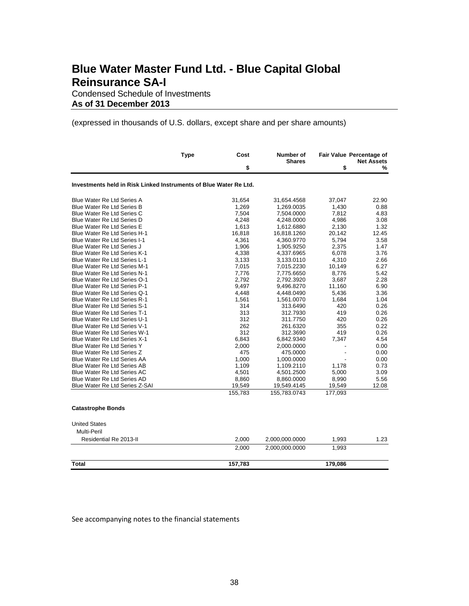Condensed Schedule of Investments **As of 31 December 2013** 

(expressed in thousands of U.S. dollars, except share and per share amounts)

|                                                                   | <b>Type</b> | Cost    | Number of      |         | Fair Value Percentage of |
|-------------------------------------------------------------------|-------------|---------|----------------|---------|--------------------------|
|                                                                   |             | \$      | <b>Shares</b>  | \$      | <b>Net Assets</b><br>%   |
| Investments held in Risk Linked Instruments of Blue Water Re Ltd. |             |         |                |         |                          |
| Blue Water Re Ltd Series A                                        |             | 31,654  | 31,654.4568    | 37,047  | 22.90                    |
| Blue Water Re Ltd Series B                                        |             | 1,269   | 1,269.0035     | 1,430   | 0.88                     |
| Blue Water Re Ltd Series C                                        |             | 7,504   | 7,504.0000     | 7,812   | 4.83                     |
| Blue Water Re Ltd Series D                                        |             | 4,248   | 4,248.0000     | 4,986   | 3.08                     |
| <b>Blue Water Re Ltd Series E</b>                                 |             | 1,613   | 1,612.6880     | 2,130   | 1.32                     |
| Blue Water Re Ltd Series H-1                                      |             | 16,818  | 16,818.1260    | 20,142  | 12.45                    |
| <b>Blue Water Re Ltd Series I-1</b>                               |             | 4,361   | 4,360.9770     | 5,794   | 3.58                     |
| Blue Water Re Ltd Series J                                        |             | 1,906   | 1,905.9250     | 2,375   | 1.47                     |
| <b>Blue Water Re Ltd Series K-1</b>                               |             | 4,338   | 4,337.6965     | 6,078   | 3.76                     |
| Blue Water Re Ltd Series L-1                                      |             | 3,133   | 3,133.0110     | 4,310   | 2.66                     |
| Blue Water Re Ltd Series M-1                                      |             | 7,015   | 7,015.2230     | 10,149  | 6.27                     |
| Blue Water Re Ltd Series N-1                                      |             | 7,776   | 7,775.6650     | 8,776   | 5.42                     |
| Blue Water Re Ltd Series O-1                                      |             | 2,792   | 2,792.3920     | 3,687   | 2.28                     |
| Blue Water Re Ltd Series P-1                                      |             | 9,497   | 9,496.8270     | 11,160  | 6.90                     |
| Blue Water Re Ltd Series Q-1                                      |             | 4,448   | 4,448.0490     | 5,436   | 3.36                     |
| <b>Blue Water Re Ltd Series R-1</b>                               |             | 1,561   | 1,561.0070     | 1,684   | 1.04                     |
| <b>Blue Water Re Ltd Series S-1</b>                               |             | 314     | 313.6490       | 420     | 0.26                     |
| Blue Water Re Ltd Series T-1                                      |             | 313     | 312.7930       | 419     | 0.26                     |
| Blue Water Re Ltd Series U-1                                      |             | 312     | 311.7750       | 420     | 0.26                     |
| Blue Water Re Ltd Series V-1                                      |             | 262     | 261.6320       | 355     | 0.22                     |
| Blue Water Re Ltd Series W-1                                      |             | 312     | 312.3690       | 419     | 0.26                     |
| Blue Water Re Ltd Series X-1                                      |             | 6,843   | 6,842.9340     | 7,347   | 4.54                     |
| <b>Blue Water Re Ltd Series Y</b>                                 |             | 2,000   | 2,000.0000     |         | 0.00                     |
| Blue Water Re Ltd Series Z                                        |             | 475     | 475.0000       |         | 0.00                     |
| Blue Water Re Ltd Series AA                                       |             | 1,000   | 1,000.0000     |         | 0.00                     |
| Blue Water Re Ltd Series AB                                       |             | 1,109   | 1,109.2110     | 1,178   | 0.73                     |
| Blue Water Re Ltd Series AC                                       |             | 4,501   | 4,501.2500     | 5,000   | 3.09                     |
| Blue Water Re Ltd Series AD                                       |             | 8,860   | 8,860.0000     | 8,990   | 5.56                     |
| Blue Water Re Ltd Series Z-SAI                                    |             | 19,549  | 19,549.4145    | 19,549  | 12.08                    |
|                                                                   |             | 155,783 | 155,783.0743   | 177,093 |                          |
| <b>Catastrophe Bonds</b>                                          |             |         |                |         |                          |
| <b>United States</b>                                              |             |         |                |         |                          |
| Multi-Peril                                                       |             |         |                |         |                          |
| Residential Re 2013-II                                            |             | 2,000   | 2,000,000.0000 | 1,993   | 1.23                     |
|                                                                   |             | 2,000   | 2,000,000.0000 | 1,993   |                          |
| <b>Total</b>                                                      |             | 157,783 |                | 179,086 |                          |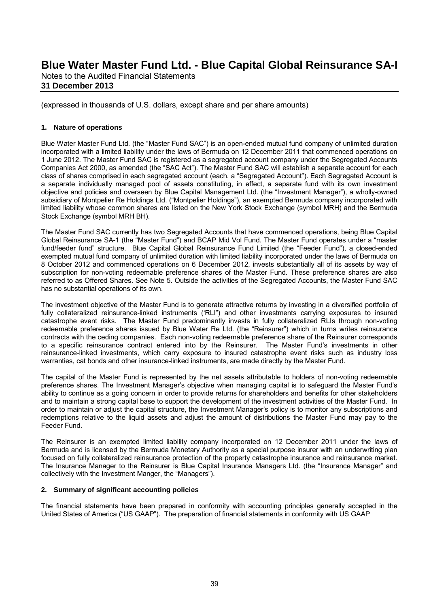Notes to the Audited Financial Statements **31 December 2013**

(expressed in thousands of U.S. dollars, except share and per share amounts)

### **1. Nature of operations**

Blue Water Master Fund Ltd. (the "Master Fund SAC") is an open-ended mutual fund company of unlimited duration incorporated with a limited liability under the laws of Bermuda on 12 December 2011 that commenced operations on 1 June 2012. The Master Fund SAC is registered as a segregated account company under the Segregated Accounts Companies Act 2000, as amended (the "SAC Act"). The Master Fund SAC will establish a separate account for each class of shares comprised in each segregated account (each, a "Segregated Account"). Each Segregated Account is a separate individually managed pool of assets constituting, in effect, a separate fund with its own investment objective and policies and overseen by Blue Capital Management Ltd. (the "Investment Manager"), a wholly-owned subsidiary of Montpelier Re Holdings Ltd. ("Montpelier Holdings"), an exempted Bermuda company incorporated with limited liability whose common shares are listed on the New York Stock Exchange (symbol MRH) and the Bermuda Stock Exchange (symbol MRH BH).

The Master Fund SAC currently has two Segregated Accounts that have commenced operations, being Blue Capital Global Reinsurance SA-1 (the "Master Fund") and BCAP Mid Vol Fund. The Master Fund operates under a "master fund/feeder fund" structure. Blue Capital Global Reinsurance Fund Limited (the "Feeder Fund"), a closed-ended exempted mutual fund company of unlimited duration with limited liability incorporated under the laws of Bermuda on 8 October 2012 and commenced operations on 6 December 2012, invests substantially all of its assets by way of subscription for non-voting redeemable preference shares of the Master Fund. These preference shares are also referred to as Offered Shares. See Note 5. Outside the activities of the Segregated Accounts, the Master Fund SAC has no substantial operations of its own.

The investment objective of the Master Fund is to generate attractive returns by investing in a diversified portfolio of fully collateralized reinsurance-linked instruments ('RLI") and other investments carrying exposures to insured catastrophe event risks. The Master Fund predominantly invests in fully collateralized RLIs through non-voting redeemable preference shares issued by Blue Water Re Ltd. (the "Reinsurer") which in turns writes reinsurance contracts with the ceding companies. Each non-voting redeemable preference share of the Reinsurer corresponds to a specific reinsurance contract entered into by the Reinsurer. The Master Fund's investments in other reinsurance-linked investments, which carry exposure to insured catastrophe event risks such as industry loss warranties, cat bonds and other insurance-linked instruments, are made directly by the Master Fund.

The capital of the Master Fund is represented by the net assets attributable to holders of non-voting redeemable preference shares. The Investment Manager's objective when managing capital is to safeguard the Master Fund's ability to continue as a going concern in order to provide returns for shareholders and benefits for other stakeholders and to maintain a strong capital base to support the development of the investment activities of the Master Fund. In order to maintain or adjust the capital structure, the Investment Manager's policy is to monitor any subscriptions and redemptions relative to the liquid assets and adjust the amount of distributions the Master Fund may pay to the Feeder Fund.

The Reinsurer is an exempted limited liability company incorporated on 12 December 2011 under the laws of Bermuda and is licensed by the Bermuda Monetary Authority as a special purpose insurer with an underwriting plan focused on fully collateralized reinsurance protection of the property catastrophe insurance and reinsurance market. The Insurance Manager to the Reinsurer is Blue Capital Insurance Managers Ltd. (the "Insurance Manager" and collectively with the Investment Manger, the "Managers").

### **2. Summary of significant accounting policies**

The financial statements have been prepared in conformity with accounting principles generally accepted in the United States of America ("US GAAP"). The preparation of financial statements in conformity with US GAAP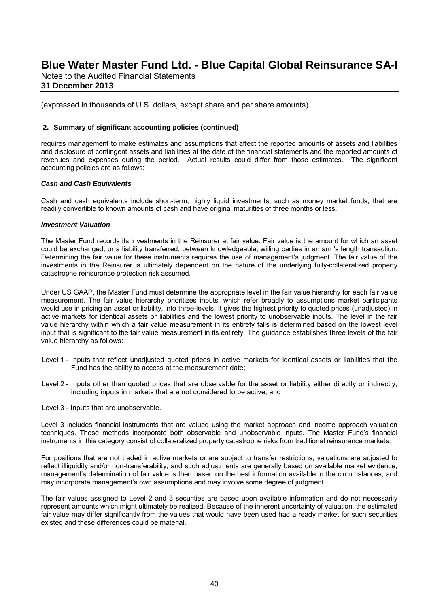Notes to the Audited Financial Statements **31 December 2013**

(expressed in thousands of U.S. dollars, except share and per share amounts)

### **2. Summary of significant accounting policies (continued)**

requires management to make estimates and assumptions that affect the reported amounts of assets and liabilities and disclosure of contingent assets and liabilities at the date of the financial statements and the reported amounts of revenues and expenses during the period. Actual results could differ from those estimates. The significant accounting policies are as follows:

### *Cash and Cash Equivalents*

Cash and cash equivalents include short-term, highly liquid investments, such as money market funds, that are readily convertible to known amounts of cash and have original maturities of three months or less.

### *Investment Valuation*

The Master Fund records its investments in the Reinsurer at fair value. Fair value is the amount for which an asset could be exchanged, or a liability transferred, between knowledgeable, willing parties in an arm's length transaction. Determining the fair value for these instruments requires the use of management's judgment. The fair value of the investments in the Reinsurer is ultimately dependent on the nature of the underlying fully-collateralized property catastrophe reinsurance protection risk assumed.

Under US GAAP, the Master Fund must determine the appropriate level in the fair value hierarchy for each fair value measurement. The fair value hierarchy prioritizes inputs, which refer broadly to assumptions market participants would use in pricing an asset or liability, into three-levels. It gives the highest priority to quoted prices (unadjusted) in active markets for identical assets or liabilities and the lowest priority to unobservable inputs. The level in the fair value hierarchy within which a fair value measurement in its entirety falls is determined based on the lowest level input that is significant to the fair value measurement in its entirety. The guidance establishes three levels of the fair value hierarchy as follows:

- Level 1 Inputs that reflect unadjusted quoted prices in active markets for identical assets or liabilities that the Fund has the ability to access at the measurement date;
- Level 2 Inputs other than quoted prices that are observable for the asset or liability either directly or indirectly, including inputs in markets that are not considered to be active; and
- Level 3 Inputs that are unobservable.

Level 3 includes financial instruments that are valued using the market approach and income approach valuation techniques. These methods incorporate both observable and unobservable inputs. The Master Fund's financial instruments in this category consist of collateralized property catastrophe risks from traditional reinsurance markets.

For positions that are not traded in active markets or are subject to transfer restrictions, valuations are adjusted to reflect illiquidity and/or non-transferability, and such adjustments are generally based on available market evidence; management's determination of fair value is then based on the best information available in the circumstances, and may incorporate management's own assumptions and may involve some degree of judgment.

The fair values assigned to Level 2 and 3 securities are based upon available information and do not necessarily represent amounts which might ultimately be realized. Because of the inherent uncertainty of valuation, the estimated fair value may differ significantly from the values that would have been used had a ready market for such securities existed and these differences could be material.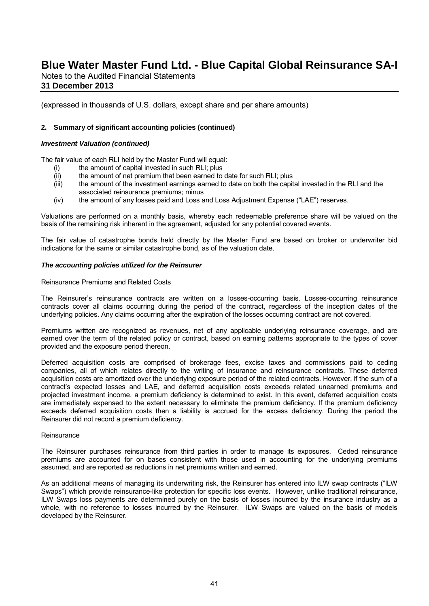Notes to the Audited Financial Statements **31 December 2013**

### (expressed in thousands of U.S. dollars, except share and per share amounts)

### **2. Summary of significant accounting policies (continued)**

### *Investment Valuation (continued)*

The fair value of each RLI held by the Master Fund will equal:

- (i) the amount of capital invested in such RLI; plus
- (ii) the amount of net premium that been earned to date for such RLI; plus
- (iii) the amount of the investment earnings earned to date on both the capital invested in the RLI and the associated reinsurance premiums; minus
- (iv) the amount of any losses paid and Loss and Loss Adjustment Expense ("LAE") reserves.

Valuations are performed on a monthly basis, whereby each redeemable preference share will be valued on the basis of the remaining risk inherent in the agreement, adjusted for any potential covered events.

The fair value of catastrophe bonds held directly by the Master Fund are based on broker or underwriter bid indications for the same or similar catastrophe bond, as of the valuation date.

### *The accounting policies utilized for the Reinsurer*

### Reinsurance Premiums and Related Costs

The Reinsurer's reinsurance contracts are written on a losses-occurring basis. Losses-occurring reinsurance contracts cover all claims occurring during the period of the contract, regardless of the inception dates of the underlying policies. Any claims occurring after the expiration of the losses occurring contract are not covered.

Premiums written are recognized as revenues, net of any applicable underlying reinsurance coverage, and are earned over the term of the related policy or contract, based on earning patterns appropriate to the types of cover provided and the exposure period thereon.

Deferred acquisition costs are comprised of brokerage fees, excise taxes and commissions paid to ceding companies, all of which relates directly to the writing of insurance and reinsurance contracts. These deferred acquisition costs are amortized over the underlying exposure period of the related contracts. However, if the sum of a contract's expected losses and LAE, and deferred acquisition costs exceeds related unearned premiums and projected investment income, a premium deficiency is determined to exist. In this event, deferred acquisition costs are immediately expensed to the extent necessary to eliminate the premium deficiency. If the premium deficiency exceeds deferred acquisition costs then a liability is accrued for the excess deficiency. During the period the Reinsurer did not record a premium deficiency.

#### **Reinsurance**

The Reinsurer purchases reinsurance from third parties in order to manage its exposures. Ceded reinsurance premiums are accounted for on bases consistent with those used in accounting for the underlying premiums assumed, and are reported as reductions in net premiums written and earned.

As an additional means of managing its underwriting risk, the Reinsurer has entered into ILW swap contracts ("ILW Swaps") which provide reinsurance-like protection for specific loss events. However, unlike traditional reinsurance, ILW Swaps loss payments are determined purely on the basis of losses incurred by the insurance industry as a whole, with no reference to losses incurred by the Reinsurer. ILW Swaps are valued on the basis of models developed by the Reinsurer.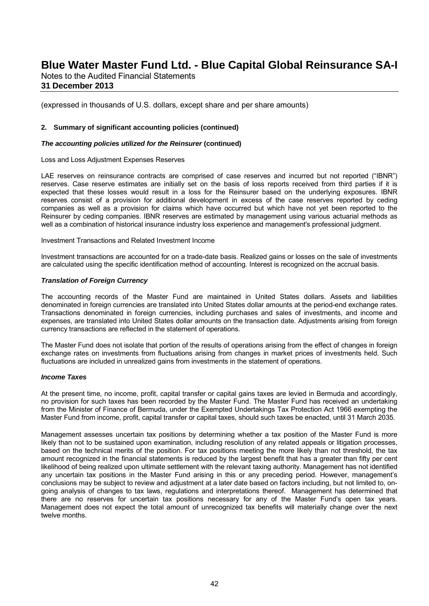Notes to the Audited Financial Statements **31 December 2013**

(expressed in thousands of U.S. dollars, except share and per share amounts)

### **2. Summary of significant accounting policies (continued)**

### *The accounting policies utilized for the Reinsurer* **(continued)**

### Loss and Loss Adjustment Expenses Reserves

LAE reserves on reinsurance contracts are comprised of case reserves and incurred but not reported ("IBNR") reserves. Case reserve estimates are initially set on the basis of loss reports received from third parties if it is expected that these losses would result in a loss for the Reinsurer based on the underlying exposures. IBNR reserves consist of a provision for additional development in excess of the case reserves reported by ceding companies as well as a provision for claims which have occurred but which have not yet been reported to the Reinsurer by ceding companies. IBNR reserves are estimated by management using various actuarial methods as well as a combination of historical insurance industry loss experience and management's professional judgment.

Investment Transactions and Related Investment Income

Investment transactions are accounted for on a trade-date basis. Realized gains or losses on the sale of investments are calculated using the specific identification method of accounting. Interest is recognized on the accrual basis.

### *Translation of Foreign Currency*

The accounting records of the Master Fund are maintained in United States dollars. Assets and liabilities denominated in foreign currencies are translated into United States dollar amounts at the period-end exchange rates. Transactions denominated in foreign currencies, including purchases and sales of investments, and income and expenses, are translated into United States dollar amounts on the transaction date. Adjustments arising from foreign currency transactions are reflected in the statement of operations.

The Master Fund does not isolate that portion of the results of operations arising from the effect of changes in foreign exchange rates on investments from fluctuations arising from changes in market prices of investments held. Such fluctuations are included in unrealized gains from investments in the statement of operations.

### *Income Taxes*

At the present time, no income, profit, capital transfer or capital gains taxes are levied in Bermuda and accordingly, no provision for such taxes has been recorded by the Master Fund. The Master Fund has received an undertaking from the Minister of Finance of Bermuda, under the Exempted Undertakings Tax Protection Act 1966 exempting the Master Fund from income, profit, capital transfer or capital taxes, should such taxes be enacted, until 31 March 2035.

Management assesses uncertain tax positions by determining whether a tax position of the Master Fund is more likely than not to be sustained upon examination, including resolution of any related appeals or litigation processes, based on the technical merits of the position. For tax positions meeting the more likely than not threshold, the tax amount recognized in the financial statements is reduced by the largest benefit that has a greater than fifty per cent likelihood of being realized upon ultimate settlement with the relevant taxing authority. Management has not identified any uncertain tax positions in the Master Fund arising in this or any preceding period. However, management's conclusions may be subject to review and adjustment at a later date based on factors including, but not limited to, ongoing analysis of changes to tax laws, regulations and interpretations thereof. Management has determined that there are no reserves for uncertain tax positions necessary for any of the Master Fund's open tax years. Management does not expect the total amount of unrecognized tax benefits will materially change over the next twelve months.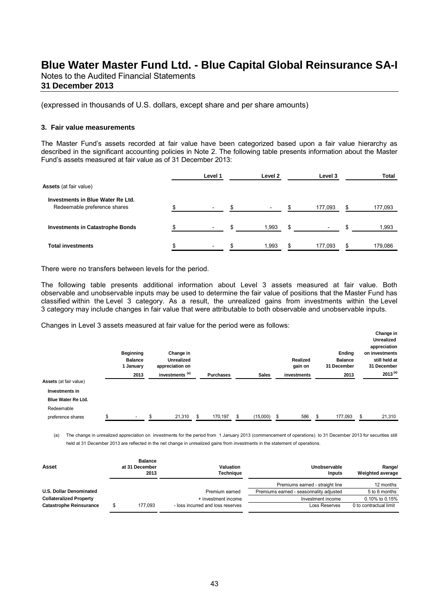Notes to the Audited Financial Statements **31 December 2013**

(expressed in thousands of U.S. dollars, except share and per share amounts)

### **3. Fair value measurements**

The Master Fund's assets recorded at fair value have been categorized based upon a fair value hierarchy as described in the significant accounting policies in Note 2. The following table presents information about the Master Fund's assets measured at fair value as of 31 December 2013:

|                                                                   |   | Level 1 |     | Level <sub>2</sub> | Level 3                        |   | <b>Total</b> |
|-------------------------------------------------------------------|---|---------|-----|--------------------|--------------------------------|---|--------------|
| Assets (at fair value)                                            |   |         |     |                    |                                |   |              |
| Investments in Blue Water Re Ltd.<br>Redeemable preference shares |   |         |     |                    | 177,093                        |   | 177,093      |
| <b>Investments in Catastrophe Bonds</b>                           |   |         | £.  | 1,993              | \$<br>$\overline{\phantom{0}}$ | Ф | 1,993        |
| <b>Total investments</b>                                          | S | -       | \$. | 1,993              | \$<br>177,093                  | æ | 179,086      |

There were no transfers between levels for the period.

The following table presents additional information about Level 3 assets measured at fair value. Both observable and unobservable inputs may be used to determine the fair value of positions that the Master Fund has classified within the Level 3 category. As a result, the unrealized gains from investments within the Level 3 category may include changes in fair value that were attributable to both observable and unobservable inputs.

Changes in Level 3 assets measured at fair value for the period were as follows:

|                           | <b>Beginning</b><br><b>Balance</b><br>1 January<br>2013 | Change in<br><b>Unrealized</b><br>appreciation on<br>investments <sup>(a)</sup> | <b>Purchases</b> | <b>Sales</b> | Realized<br>gain on<br>investments | Ending<br><b>Balance</b><br>31 December<br>2013 | Change in<br><b>Unrealized</b><br>appreciation<br>on investments<br>still held at<br>31 December<br>$2013^{(a)}$ |
|---------------------------|---------------------------------------------------------|---------------------------------------------------------------------------------|------------------|--------------|------------------------------------|-------------------------------------------------|------------------------------------------------------------------------------------------------------------------|
| Assets (at fair value)    |                                                         |                                                                                 |                  |              |                                    |                                                 |                                                                                                                  |
| Investments in            |                                                         |                                                                                 |                  |              |                                    |                                                 |                                                                                                                  |
| <b>Blue Water Re Ltd.</b> |                                                         |                                                                                 |                  |              |                                    |                                                 |                                                                                                                  |
| Redeemable                |                                                         |                                                                                 |                  |              |                                    |                                                 |                                                                                                                  |
| preference shares         |                                                         | \$<br>21,310                                                                    | 170,197          | (15,000)     | \$<br>586                          | 177,093                                         | \$<br>21,310                                                                                                     |

(a) The change in unrealized appreciation on investments for the period from 1 January 2013 (commencement of operations) to 31 December 2013 for securities still held at 31 December 2013 are reflected in the net change in unrealized gains from investments in the statement of operations.

| Asset                          | <b>Balance</b><br>at 31 December<br>2013 | <b>Valuation</b><br><b>Technique</b> | Unobservable<br>Inputs                                                     | Range/<br>Weighted average |
|--------------------------------|------------------------------------------|--------------------------------------|----------------------------------------------------------------------------|----------------------------|
| U.S. Dollar Denominated        |                                          | Premium earned                       | Premiums earned - straight line<br>Premiums earned - seasonnality adjusted | 12 months<br>5 to 6 months |
| <b>Collateralized Property</b> |                                          | + investment income                  | Investment income                                                          | 0.10% to 0.15%             |
| <b>Catastrophe Reinsurance</b> | 177.093                                  | - loss incurred and loss reserves    | Loss Reserves                                                              | 0 to contractual limit     |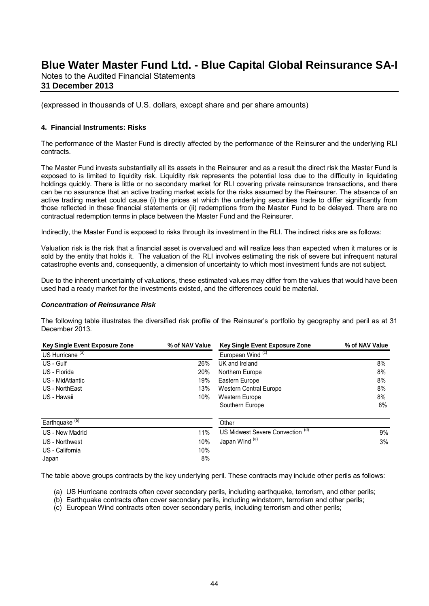Notes to the Audited Financial Statements **31 December 2013**

(expressed in thousands of U.S. dollars, except share and per share amounts)

### **4. Financial Instruments: Risks**

The performance of the Master Fund is directly affected by the performance of the Reinsurer and the underlying RLI contracts.

The Master Fund invests substantially all its assets in the Reinsurer and as a result the direct risk the Master Fund is exposed to is limited to liquidity risk. Liquidity risk represents the potential loss due to the difficulty in liquidating holdings quickly. There is little or no secondary market for RLI covering private reinsurance transactions, and there can be no assurance that an active trading market exists for the risks assumed by the Reinsurer. The absence of an active trading market could cause (i) the prices at which the underlying securities trade to differ significantly from those reflected in these financial statements or (ii) redemptions from the Master Fund to be delayed. There are no contractual redemption terms in place between the Master Fund and the Reinsurer.

Indirectly, the Master Fund is exposed to risks through its investment in the RLI. The indirect risks are as follows:

Valuation risk is the risk that a financial asset is overvalued and will realize less than expected when it matures or is sold by the entity that holds it. The valuation of the RLI involves estimating the risk of severe but infrequent natural catastrophe events and, consequently, a dimension of uncertainty to which most investment funds are not subject.

Due to the inherent uncertainty of valuations, these estimated values may differ from the values that would have been used had a ready market for the investments existed, and the differences could be material.

### *Concentration of Reinsurance Risk*

The following table illustrates the diversified risk profile of the Reinsurer's portfolio by geography and peril as at 31 December 2013.

| <b>Key Single Event Exposure Zone</b> | % of NAV Value | <b>Key Single Event Exposure Zone</b>       | % of NAV Value |
|---------------------------------------|----------------|---------------------------------------------|----------------|
| US Hurricane <sup>(a)</sup>           |                | European Wind <sup>(c)</sup>                |                |
| US - Gulf                             | 26%            | UK and Ireland                              | 8%             |
| US - Florida                          | 20%            | Northern Europe                             | 8%             |
| US - MidAtlantic                      | 19%            | Eastern Europe                              | 8%             |
| US - NorthEast                        | 13%            | <b>Western Central Europe</b>               | 8%             |
| US - Hawaii                           | 10%            | Western Europe                              | 8%             |
|                                       |                | Southern Europe                             | 8%             |
| Earthquake <sup>(b)</sup>             |                | Other                                       |                |
| US - New Madrid                       | 11%            | US Midwest Severe Convection <sup>(d)</sup> | 9%             |
| US - Northwest                        | 10%            | Japan Wind <sup>(e)</sup>                   | 3%             |
| US - California                       | 10%            |                                             |                |
| Japan                                 | 8%             |                                             |                |

The table above groups contracts by the key underlying peril. These contracts may include other perils as follows:

- (a) US Hurricane contracts often cover secondary perils, including earthquake, terrorism, and other perils;
- (b) Earthquake contracts often cover secondary perils, including windstorm, terrorism and other perils;
- (c) European Wind contracts often cover secondary perils, including terrorism and other perils;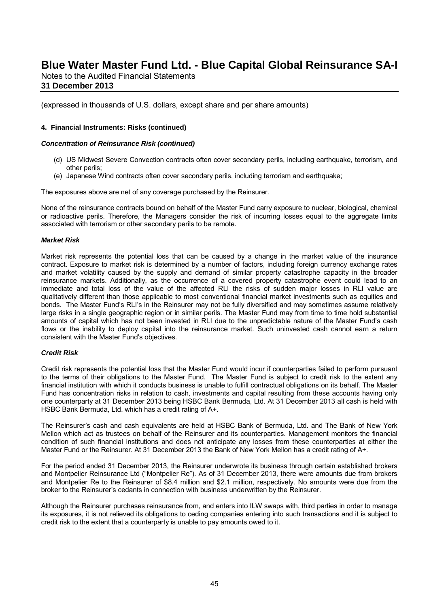Notes to the Audited Financial Statements **31 December 2013**

(expressed in thousands of U.S. dollars, except share and per share amounts)

### **4. Financial Instruments: Risks (continued)**

### *Concentration of Reinsurance Risk (continued)*

- (d) US Midwest Severe Convection contracts often cover secondary perils, including earthquake, terrorism, and other perils;
- (e) Japanese Wind contracts often cover secondary perils, including terrorism and earthquake;

The exposures above are net of any coverage purchased by the Reinsurer.

None of the reinsurance contracts bound on behalf of the Master Fund carry exposure to nuclear, biological, chemical or radioactive perils. Therefore, the Managers consider the risk of incurring losses equal to the aggregate limits associated with terrorism or other secondary perils to be remote.

### *Market Risk*

Market risk represents the potential loss that can be caused by a change in the market value of the insurance contract. Exposure to market risk is determined by a number of factors, including foreign currency exchange rates and market volatility caused by the supply and demand of similar property catastrophe capacity in the broader reinsurance markets. Additionally, as the occurrence of a covered property catastrophe event could lead to an immediate and total loss of the value of the affected RLI the risks of sudden major losses in RLI value are qualitatively different than those applicable to most conventional financial market investments such as equities and bonds. The Master Fund's RLI's in the Reinsurer may not be fully diversified and may sometimes assume relatively large risks in a single geographic region or in similar perils. The Master Fund may from time to time hold substantial amounts of capital which has not been invested in RLI due to the unpredictable nature of the Master Fund's cash flows or the inability to deploy capital into the reinsurance market. Such uninvested cash cannot earn a return consistent with the Master Fund's objectives.

### *Credit Risk*

Credit risk represents the potential loss that the Master Fund would incur if counterparties failed to perform pursuant to the terms of their obligations to the Master Fund. The Master Fund is subject to credit risk to the extent any financial institution with which it conducts business is unable to fulfill contractual obligations on its behalf. The Master Fund has concentration risks in relation to cash, investments and capital resulting from these accounts having only one counterparty at 31 December 2013 being HSBC Bank Bermuda, Ltd. At 31 December 2013 all cash is held with HSBC Bank Bermuda, Ltd. which has a credit rating of A+.

The Reinsurer's cash and cash equivalents are held at HSBC Bank of Bermuda, Ltd. and The Bank of New York Mellon which act as trustees on behalf of the Reinsurer and its counterparties. Management monitors the financial condition of such financial institutions and does not anticipate any losses from these counterparties at either the Master Fund or the Reinsurer. At 31 December 2013 the Bank of New York Mellon has a credit rating of A+.

For the period ended 31 December 2013, the Reinsurer underwrote its business through certain established brokers and Montpelier Reinsurance Ltd ("Montpelier Re"). As of 31 December 2013, there were amounts due from brokers and Montpelier Re to the Reinsurer of \$8.4 million and \$2.1 million, respectively. No amounts were due from the broker to the Reinsurer's cedants in connection with business underwritten by the Reinsurer.

Although the Reinsurer purchases reinsurance from, and enters into ILW swaps with, third parties in order to manage its exposures, it is not relieved its obligations to ceding companies entering into such transactions and it is subject to credit risk to the extent that a counterparty is unable to pay amounts owed to it.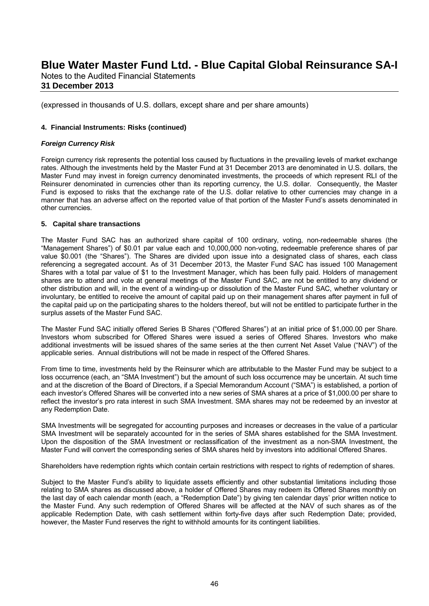Notes to the Audited Financial Statements **31 December 2013**

(expressed in thousands of U.S. dollars, except share and per share amounts)

### **4. Financial Instruments: Risks (continued)**

### *Foreign Currency Risk*

Foreign currency risk represents the potential loss caused by fluctuations in the prevailing levels of market exchange rates. Although the investments held by the Master Fund at 31 December 2013 are denominated in U.S. dollars, the Master Fund may invest in foreign currency denominated investments, the proceeds of which represent RLI of the Reinsurer denominated in currencies other than its reporting currency, the U.S. dollar. Consequently, the Master Fund is exposed to risks that the exchange rate of the U.S. dollar relative to other currencies may change in a manner that has an adverse affect on the reported value of that portion of the Master Fund's assets denominated in other currencies.

### **5. Capital share transactions**

The Master Fund SAC has an authorized share capital of 100 ordinary, voting, non-redeemable shares (the "Management Shares") of \$0.01 par value each and 10,000,000 non-voting, redeemable preference shares of par value \$0.001 (the "Shares"). The Shares are divided upon issue into a designated class of shares, each class referencing a segregated account. As of 31 December 2013, the Master Fund SAC has issued 100 Management Shares with a total par value of \$1 to the Investment Manager, which has been fully paid. Holders of management shares are to attend and vote at general meetings of the Master Fund SAC, are not be entitled to any dividend or other distribution and will, in the event of a winding-up or dissolution of the Master Fund SAC, whether voluntary or involuntary, be entitled to receive the amount of capital paid up on their management shares after payment in full of the capital paid up on the participating shares to the holders thereof, but will not be entitled to participate further in the surplus assets of the Master Fund SAC.

The Master Fund SAC initially offered Series B Shares ("Offered Shares") at an initial price of \$1,000.00 per Share. Investors whom subscribed for Offered Shares were issued a series of Offered Shares. Investors who make additional investments will be issued shares of the same series at the then current Net Asset Value ("NAV") of the applicable series. Annual distributions will not be made in respect of the Offered Shares.

From time to time, investments held by the Reinsurer which are attributable to the Master Fund may be subject to a loss occurrence (each, an "SMA Investment") but the amount of such loss occurrence may be uncertain. At such time and at the discretion of the Board of Directors, if a Special Memorandum Account ("SMA") is established, a portion of each investor's Offered Shares will be converted into a new series of SMA shares at a price of \$1,000.00 per share to reflect the investor's pro rata interest in such SMA Investment. SMA shares may not be redeemed by an investor at any Redemption Date.

SMA Investments will be segregated for accounting purposes and increases or decreases in the value of a particular SMA Investment will be separately accounted for in the series of SMA shares established for the SMA Investment. Upon the disposition of the SMA Investment or reclassification of the investment as a non-SMA Investment, the Master Fund will convert the corresponding series of SMA shares held by investors into additional Offered Shares.

Shareholders have redemption rights which contain certain restrictions with respect to rights of redemption of shares.

Subject to the Master Fund's ability to liquidate assets efficiently and other substantial limitations including those relating to SMA shares as discussed above, a holder of Offered Shares may redeem its Offered Shares monthly on the last day of each calendar month (each, a "Redemption Date") by giving ten calendar days' prior written notice to the Master Fund. Any such redemption of Offered Shares will be affected at the NAV of such shares as of the applicable Redemption Date, with cash settlement within forty-five days after such Redemption Date; provided, however, the Master Fund reserves the right to withhold amounts for its contingent liabilities.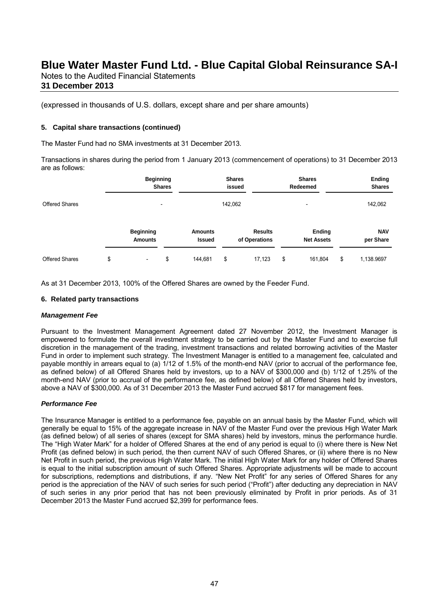Notes to the Audited Financial Statements **31 December 2013**

(expressed in thousands of U.S. dollars, except share and per share amounts)

### **5. Capital share transactions (continued)**

The Master Fund had no SMA investments at 31 December 2013.

Transactions in shares during the period from 1 January 2013 (commencement of operations) to 31 December 2013 are as follows:

|                       | <b>Beginning</b><br><b>Shares</b>  |                          |         | <b>Shares</b><br>issued         | <b>Shares</b><br>Redeemed   | Ending<br><b>Shares</b> |
|-----------------------|------------------------------------|--------------------------|---------|---------------------------------|-----------------------------|-------------------------|
| Offered Shares        | $\overline{\phantom{a}}$           |                          | 142,062 |                                 | ٠                           | 142,062                 |
|                       | <b>Beginning</b><br><b>Amounts</b> | <b>Amounts</b><br>Issued |         | <b>Results</b><br>of Operations | Ending<br><b>Net Assets</b> | <b>NAV</b><br>per Share |
| <b>Offered Shares</b> | \$<br>$\overline{\phantom{a}}$     | \$<br>144,681            | \$      | 17,123                          | \$<br>161,804               | \$<br>1,138.9697        |

As at 31 December 2013, 100% of the Offered Shares are owned by the Feeder Fund.

### **6. Related party transactions**

### *Management Fee*

Pursuant to the Investment Management Agreement dated 27 November 2012, the Investment Manager is empowered to formulate the overall investment strategy to be carried out by the Master Fund and to exercise full discretion in the management of the trading, investment transactions and related borrowing activities of the Master Fund in order to implement such strategy. The Investment Manager is entitled to a management fee, calculated and payable monthly in arrears equal to (a) 1/12 of 1.5% of the month-end NAV (prior to accrual of the performance fee, as defined below) of all Offered Shares held by investors, up to a NAV of \$300,000 and (b) 1/12 of 1.25% of the month-end NAV (prior to accrual of the performance fee, as defined below) of all Offered Shares held by investors, above a NAV of \$300,000. As of 31 December 2013 the Master Fund accrued \$817 for management fees.

### *Performance Fee*

The Insurance Manager is entitled to a performance fee, payable on an annual basis by the Master Fund, which will generally be equal to 15% of the aggregate increase in NAV of the Master Fund over the previous High Water Mark (as defined below) of all series of shares (except for SMA shares) held by investors, minus the performance hurdle. The "High Water Mark" for a holder of Offered Shares at the end of any period is equal to (i) where there is New Net Profit (as defined below) in such period, the then current NAV of such Offered Shares, or (ii) where there is no New Net Profit in such period, the previous High Water Mark. The initial High Water Mark for any holder of Offered Shares is equal to the initial subscription amount of such Offered Shares. Appropriate adjustments will be made to account for subscriptions, redemptions and distributions, if any. "New Net Profit" for any series of Offered Shares for any period is the appreciation of the NAV of such series for such period ("Profit") after deducting any depreciation in NAV of such series in any prior period that has not been previously eliminated by Profit in prior periods. As of 31 December 2013 the Master Fund accrued \$2,399 for performance fees.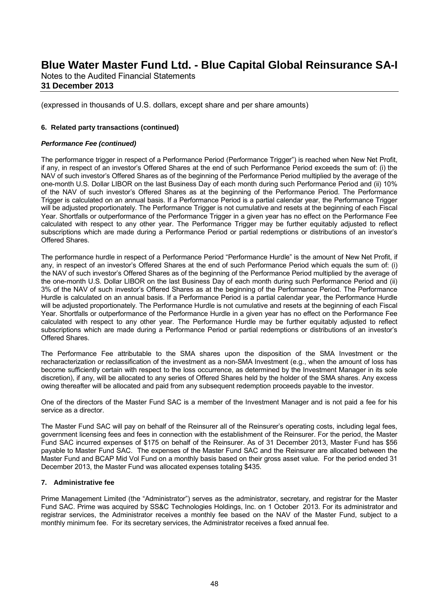Notes to the Audited Financial Statements **31 December 2013**

(expressed in thousands of U.S. dollars, except share and per share amounts)

### **6. Related party transactions (continued)**

### *Performance Fee (continued)*

The performance trigger in respect of a Performance Period (Performance Trigger") is reached when New Net Profit, if any, in respect of an investor's Offered Shares at the end of such Performance Period exceeds the sum of: (i) the NAV of such investor's Offered Shares as of the beginning of the Performance Period multiplied by the average of the one-month U.S. Dollar LIBOR on the last Business Day of each month during such Performance Period and (ii) 10% of the NAV of such investor's Offered Shares as at the beginning of the Performance Period. The Performance Trigger is calculated on an annual basis. If a Performance Period is a partial calendar year, the Performance Trigger will be adjusted proportionately. The Performance Trigger is not cumulative and resets at the beginning of each Fiscal Year. Shortfalls or outperformance of the Performance Trigger in a given year has no effect on the Performance Fee calculated with respect to any other year. The Performance Trigger may be further equitably adjusted to reflect subscriptions which are made during a Performance Period or partial redemptions or distributions of an investor's Offered Shares.

The performance hurdle in respect of a Performance Period "Performance Hurdle" is the amount of New Net Profit, if any, in respect of an investor's Offered Shares at the end of such Performance Period which equals the sum of: (i) the NAV of such investor's Offered Shares as of the beginning of the Performance Period multiplied by the average of the one-month U.S. Dollar LIBOR on the last Business Day of each month during such Performance Period and (ii) 3% of the NAV of such investor's Offered Shares as at the beginning of the Performance Period. The Performance Hurdle is calculated on an annual basis. If a Performance Period is a partial calendar year, the Performance Hurdle will be adjusted proportionately. The Performance Hurdle is not cumulative and resets at the beginning of each Fiscal Year. Shortfalls or outperformance of the Performance Hurdle in a given year has no effect on the Performance Fee calculated with respect to any other year. The Performance Hurdle may be further equitably adjusted to reflect subscriptions which are made during a Performance Period or partial redemptions or distributions of an investor's Offered Shares.

The Performance Fee attributable to the SMA shares upon the disposition of the SMA Investment or the recharacterization or reclassification of the investment as a non-SMA Investment (e.g., when the amount of loss has become sufficiently certain with respect to the loss occurrence, as determined by the Investment Manager in its sole discretion), if any, will be allocated to any series of Offered Shares held by the holder of the SMA shares. Any excess owing thereafter will be allocated and paid from any subsequent redemption proceeds payable to the investor.

One of the directors of the Master Fund SAC is a member of the Investment Manager and is not paid a fee for his service as a director.

The Master Fund SAC will pay on behalf of the Reinsurer all of the Reinsurer's operating costs, including legal fees, government licensing fees and fees in connection with the establishment of the Reinsurer. For the period, the Master Fund SAC incurred expenses of \$175 on behalf of the Reinsurer. As of 31 December 2013, Master Fund has \$56 payable to Master Fund SAC. The expenses of the Master Fund SAC and the Reinsurer are allocated between the Master Fund and BCAP Mid Vol Fund on a monthly basis based on their gross asset value. For the period ended 31 December 2013, the Master Fund was allocated expenses totaling \$435.

### **7. Administrative fee**

Prime Management Limited (the "Administrator") serves as the administrator, secretary, and registrar for the Master Fund SAC. Prime was acquired by SS&C Technologies Holdings, Inc. on 1 October 2013. For its administrator and registrar services, the Administrator receives a monthly fee based on the NAV of the Master Fund, subject to a monthly minimum fee. For its secretary services, the Administrator receives a fixed annual fee.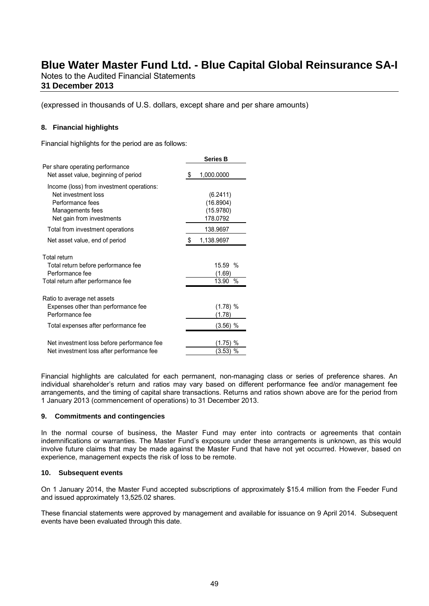Notes to the Audited Financial Statements **31 December 2013**

(expressed in thousands of U.S. dollars, except share and per share amounts)

### **8. Financial highlights**

Financial highlights for the period are as follows:

|                                                                                                                                       | <b>Series B</b>                                |
|---------------------------------------------------------------------------------------------------------------------------------------|------------------------------------------------|
| Per share operating performance<br>Net asset value, beginning of period                                                               | 1,000.0000<br>\$                               |
| Income (loss) from investment operations:<br>Net investment loss<br>Performance fees<br>Managements fees<br>Net gain from investments | (6.2411)<br>(16.8904)<br>(15.9780)<br>178.0792 |
| Total from investment operations                                                                                                      | 138.9697                                       |
| Net asset value, end of period                                                                                                        | 1,138.9697<br>\$                               |
| Total return<br>Total return before performance fee<br>Performance fee<br>Total return after performance fee                          | 15.59<br>%<br>(1.69)<br>13.90<br>%             |
| Ratio to average net assets<br>Expenses other than performance fee<br>Performance fee                                                 | (1.78) %<br>(1.78)                             |
| Total expenses after performance fee                                                                                                  | $(3.56)$ %                                     |
| Net investment loss before performance fee<br>Net investment loss after performance fee                                               | (1.75) %<br>(3.53) %                           |

Financial highlights are calculated for each permanent, non-managing class or series of preference shares. An individual shareholder's return and ratios may vary based on different performance fee and/or management fee arrangements, and the timing of capital share transactions. Returns and ratios shown above are for the period from 1 January 2013 (commencement of operations) to 31 December 2013.

### **9. Commitments and contingencies**

In the normal course of business, the Master Fund may enter into contracts or agreements that contain indemnifications or warranties. The Master Fund's exposure under these arrangements is unknown, as this would involve future claims that may be made against the Master Fund that have not yet occurred. However, based on experience, management expects the risk of loss to be remote.

### **10. Subsequent events**

On 1 January 2014, the Master Fund accepted subscriptions of approximately \$15.4 million from the Feeder Fund and issued approximately 13,525.02 shares.

These financial statements were approved by management and available for issuance on 9 April 2014. Subsequent events have been evaluated through this date.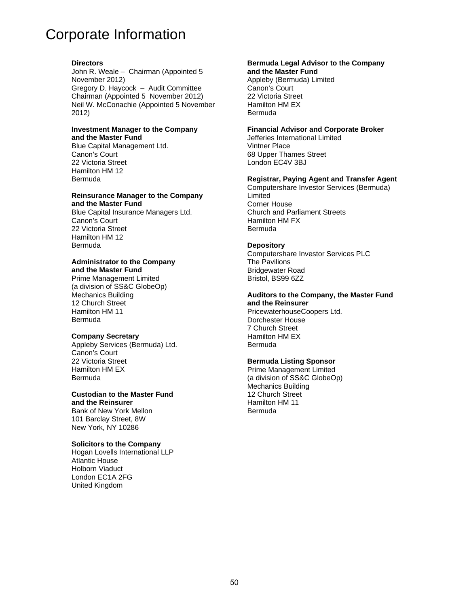# Corporate Information

### **Directors**

John R. Weale – Chairman (Appointed 5 November 2012) Gregory D. Haycock – Audit Committee Chairman (Appointed 5 November 2012) Neil W. McConachie (Appointed 5 November 2012)

### **Investment Manager to the Company and the Master Fund**

Blue Capital Management Ltd. Canon's Court 22 Victoria Street Hamilton HM 12 Bermuda

#### **Reinsurance Manager to the Company and the Master Fund**

Blue Capital Insurance Managers Ltd. Canon's Court 22 Victoria Street Hamilton HM 12 Bermuda

### **Administrator to the Company**

**and the Master Fund**  Prime Management Limited (a division of SS&C GlobeOp) Mechanics Building 12 Church Street Hamilton HM 11 Bermuda

### **Company Secretary**

Appleby Services (Bermuda) Ltd. Canon's Court 22 Victoria Street Hamilton HM EX Bermuda

### **Custodian to the Master Fund**

**and the Reinsurer** Bank of New York Mellon 101 Barclay Street, 8W New York, NY 10286

### **Solicitors to the Company**

Hogan Lovells International LLP Atlantic House Holborn Viaduct London EC1A 2FG United Kingdom

### **Bermuda Legal Advisor to the Company**

**and the Master Fund** Appleby (Bermuda) Limited Canon's Court 22 Victoria Street Hamilton HM EX Bermuda

### **Financial Advisor and Corporate Broker**

Jefferies International Limited Vintner Place 68 Upper Thames Street London EC4V 3BJ

### **Registrar, Paying Agent and Transfer Agent**

Computershare Investor Services (Bermuda) Limited Corner House Church and Parliament Streets Hamilton HM FX Bermuda

### **Depository**

Computershare Investor Services PLC The Pavilions Bridgewater Road Bristol, BS99 6ZZ

### **Auditors to the Company, the Master Fund**

**and the Reinsurer** PricewaterhouseCoopers Ltd. Dorchester House 7 Church Street Hamilton HM EX Bermuda

### **Bermuda Listing Sponsor**

Prime Management Limited (a division of SS&C GlobeOp) Mechanics Building 12 Church Street Hamilton HM 11 Bermuda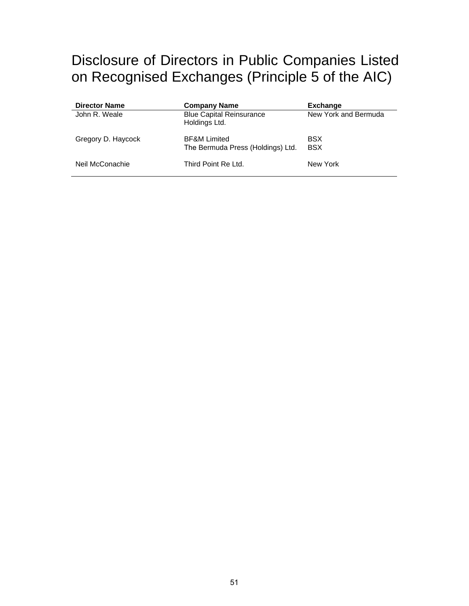# Disclosure of Directors in Public Companies Listed on Recognised Exchanges (Principle 5 of the AIC)

| <b>Director Name</b> | <b>Company Name</b>                                          | <b>Exchange</b>      |
|----------------------|--------------------------------------------------------------|----------------------|
| John R. Weale        | <b>Blue Capital Reinsurance</b><br>Holdings Ltd.             | New York and Bermuda |
| Gregory D. Haycock   | <b>BF&amp;M Limited</b><br>The Bermuda Press (Holdings) Ltd. | BSX.<br><b>BSX</b>   |
| Neil McConachie      | Third Point Re Ltd.                                          | New York             |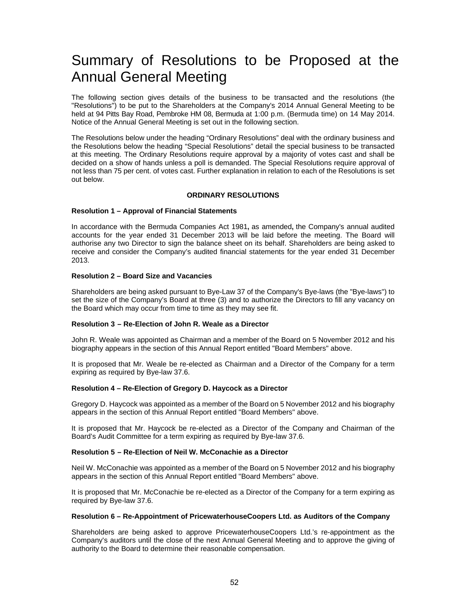# Summary of Resolutions to be Proposed at the Annual General Meeting

The following section gives details of the business to be transacted and the resolutions (the "Resolutions") to be put to the Shareholders at the Company's 2014 Annual General Meeting to be held at 94 Pitts Bay Road, Pembroke HM 08, Bermuda at 1:00 p.m. (Bermuda time) on 14 May 2014. Notice of the Annual General Meeting is set out in the following section.

The Resolutions below under the heading "Ordinary Resolutions" deal with the ordinary business and the Resolutions below the heading "Special Resolutions" detail the special business to be transacted at this meeting. The Ordinary Resolutions require approval by a majority of votes cast and shall be decided on a show of hands unless a poll is demanded. The Special Resolutions require approval of not less than 75 per cent. of votes cast. Further explanation in relation to each of the Resolutions is set out below.

### **ORDINARY RESOLUTIONS**

### **Resolution 1 – Approval of Financial Statements**

In accordance with the Bermuda Companies Act 1981**,** as amended**,** the Company's annual audited accounts for the year ended 31 December 2013 will be laid before the meeting. The Board will authorise any two Director to sign the balance sheet on its behalf. Shareholders are being asked to receive and consider the Company's audited financial statements for the year ended 31 December 2013.

### **Resolution 2 – Board Size and Vacancies**

Shareholders are being asked pursuant to Bye-Law 37 of the Company's Bye-laws (the "Bye-laws") to set the size of the Company's Board at three (3) and to authorize the Directors to fill any vacancy on the Board which may occur from time to time as they may see fit.

### **Resolution 3 – Re-Election of John R. Weale as a Director**

John R. Weale was appointed as Chairman and a member of the Board on 5 November 2012 and his biography appears in the section of this Annual Report entitled "Board Members" above.

It is proposed that Mr. Weale be re-elected as Chairman and a Director of the Company for a term expiring as required by Bye-law 37.6.

### **Resolution 4 – Re-Election of Gregory D. Haycock as a Director**

Gregory D. Haycock was appointed as a member of the Board on 5 November 2012 and his biography appears in the section of this Annual Report entitled "Board Members" above.

It is proposed that Mr. Haycock be re-elected as a Director of the Company and Chairman of the Board's Audit Committee for a term expiring as required by Bye-law 37.6.

### **Resolution 5 – Re-Election of Neil W. McConachie as a Director**

Neil W. McConachie was appointed as a member of the Board on 5 November 2012 and his biography appears in the section of this Annual Report entitled "Board Members" above.

It is proposed that Mr. McConachie be re-elected as a Director of the Company for a term expiring as required by Bye-law 37.6.

### **Resolution 6 – Re-Appointment of PricewaterhouseCoopers Ltd. as Auditors of the Company**

Shareholders are being asked to approve PricewaterhouseCoopers Ltd.'s re-appointment as the Company's auditors until the close of the next Annual General Meeting and to approve the giving of authority to the Board to determine their reasonable compensation.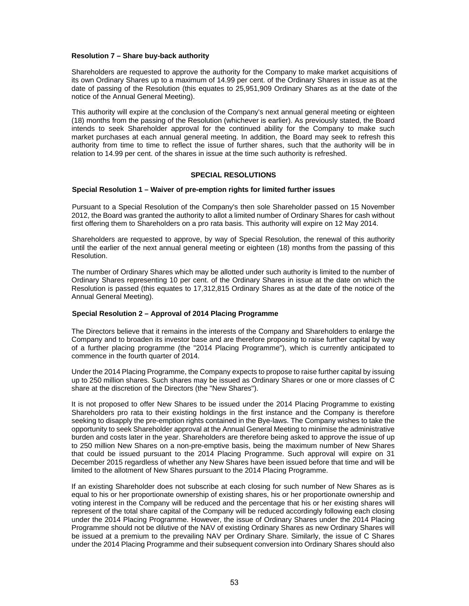### **Resolution 7 – Share buy-back authority**

Shareholders are requested to approve the authority for the Company to make market acquisitions of its own Ordinary Shares up to a maximum of 14.99 per cent. of the Ordinary Shares in issue as at the date of passing of the Resolution (this equates to 25,951,909 Ordinary Shares as at the date of the notice of the Annual General Meeting).

This authority will expire at the conclusion of the Company's next annual general meeting or eighteen (18) months from the passing of the Resolution (whichever is earlier). As previously stated, the Board intends to seek Shareholder approval for the continued ability for the Company to make such market purchases at each annual general meeting. In addition, the Board may seek to refresh this authority from time to time to reflect the issue of further shares, such that the authority will be in relation to 14.99 per cent. of the shares in issue at the time such authority is refreshed.

### **SPECIAL RESOLUTIONS**

### **Special Resolution 1 – Waiver of pre-emption rights for limited further issues**

Pursuant to a Special Resolution of the Company's then sole Shareholder passed on 15 November 2012, the Board was granted the authority to allot a limited number of Ordinary Shares for cash without first offering them to Shareholders on a pro rata basis. This authority will expire on 12 May 2014.

Shareholders are requested to approve, by way of Special Resolution, the renewal of this authority until the earlier of the next annual general meeting or eighteen (18) months from the passing of this Resolution.

The number of Ordinary Shares which may be allotted under such authority is limited to the number of Ordinary Shares representing 10 per cent. of the Ordinary Shares in issue at the date on which the Resolution is passed (this equates to 17,312,815 Ordinary Shares as at the date of the notice of the Annual General Meeting).

### **Special Resolution 2 – Approval of 2014 Placing Programme**

The Directors believe that it remains in the interests of the Company and Shareholders to enlarge the Company and to broaden its investor base and are therefore proposing to raise further capital by way of a further placing programme (the "2014 Placing Programme"), which is currently anticipated to commence in the fourth quarter of 2014.

Under the 2014 Placing Programme, the Company expects to propose to raise further capital by issuing up to 250 million shares. Such shares may be issued as Ordinary Shares or one or more classes of C share at the discretion of the Directors (the "New Shares").

It is not proposed to offer New Shares to be issued under the 2014 Placing Programme to existing Shareholders pro rata to their existing holdings in the first instance and the Company is therefore seeking to disapply the pre-emption rights contained in the Bye-laws. The Company wishes to take the opportunity to seek Shareholder approval at the Annual General Meeting to minimise the administrative burden and costs later in the year. Shareholders are therefore being asked to approve the issue of up to 250 million New Shares on a non-pre-emptive basis, being the maximum number of New Shares that could be issued pursuant to the 2014 Placing Programme. Such approval will expire on 31 December 2015 regardless of whether any New Shares have been issued before that time and will be limited to the allotment of New Shares pursuant to the 2014 Placing Programme.

If an existing Shareholder does not subscribe at each closing for such number of New Shares as is equal to his or her proportionate ownership of existing shares, his or her proportionate ownership and voting interest in the Company will be reduced and the percentage that his or her existing shares will represent of the total share capital of the Company will be reduced accordingly following each closing under the 2014 Placing Programme. However, the issue of Ordinary Shares under the 2014 Placing Programme should not be dilutive of the NAV of existing Ordinary Shares as new Ordinary Shares will be issued at a premium to the prevailing NAV per Ordinary Share. Similarly, the issue of C Shares under the 2014 Placing Programme and their subsequent conversion into Ordinary Shares should also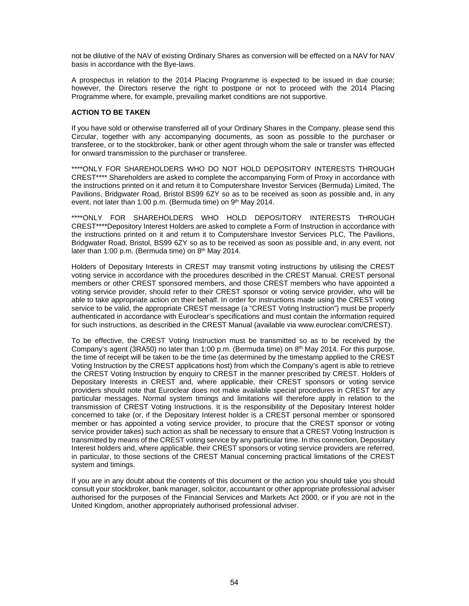not be dilutive of the NAV of existing Ordinary Shares as conversion will be effected on a NAV for NAV basis in accordance with the Bye-laws.

A prospectus in relation to the 2014 Placing Programme is expected to be issued in due course; however, the Directors reserve the right to postpone or not to proceed with the 2014 Placing Programme where, for example, prevailing market conditions are not supportive.

### **ACTION TO BE TAKEN**

If you have sold or otherwise transferred all of your Ordinary Shares in the Company, please send this Circular, together with any accompanying documents, as soon as possible to the purchaser or transferee, or to the stockbroker, bank or other agent through whom the sale or transfer was effected for onward transmission to the purchaser or transferee.

\*\*\*\*ONLY FOR SHAREHOLDERS WHO DO NOT HOLD DEPOSITORY INTERESTS THROUGH CREST\*\*\*\* Shareholders are asked to complete the accompanying Form of Proxy in accordance with the instructions printed on it and return it to Computershare Investor Services (Bermuda) Limited, The Pavilions, Bridgwater Road, Bristol BS99 6ZY so as to be received as soon as possible and, in any event, not later than 1:00 p.m. (Bermuda time) on 9<sup>th</sup> May 2014.

\*\*\*\*ONLY FOR SHAREHOLDERS WHO HOLD DEPOSITORY INTERESTS THROUGH CREST\*\*\*\*Depository Interest Holders are asked to complete a Form of Instruction in accordance with the instructions printed on it and return it to Computershare Investor Services PLC, The Pavilions, Bridgwater Road, Bristol, BS99 6ZY so as to be received as soon as possible and, in any event, not later than 1:00 p.m. (Bermuda time) on  $8<sup>th</sup>$  May 2014.

Holders of Depositary Interests in CREST may transmit voting instructions by utilising the CREST voting service in accordance with the procedures described in the CREST Manual. CREST personal members or other CREST sponsored members, and those CREST members who have appointed a voting service provider, should refer to their CREST sponsor or voting service provider, who will be able to take appropriate action on their behalf. In order for instructions made using the CREST voting service to be valid, the appropriate CREST message (a "CREST Voting Instruction") must be properly authenticated in accordance with Euroclear's specifications and must contain the information required for such instructions, as described in the CREST Manual (available via www.euroclear.com/CREST).

To be effective, the CREST Voting Instruction must be transmitted so as to be received by the Company's agent (3RA50) no later than 1:00 p.m. (Bermuda time) on 8<sup>th</sup> May 2014. For this purpose, the time of receipt will be taken to be the time (as determined by the timestamp applied to the CREST Voting Instruction by the CREST applications host) from which the Company's agent is able to retrieve the CREST Voting Instruction by enquiry to CREST in the manner prescribed by CREST. Holders of Depositary Interests in CREST and, where applicable, their CREST sponsors or voting service providers should note that Euroclear does not make available special procedures in CREST for any particular messages. Normal system timings and limitations will therefore apply in relation to the transmission of CREST Voting Instructions. It is the responsibility of the Depositary Interest holder concerned to take (or, if the Depositary Interest holder is a CREST personal member or sponsored member or has appointed a voting service provider, to procure that the CREST sponsor or voting service provider takes) such action as shall be necessary to ensure that a CREST Voting Instruction is transmitted by means of the CREST voting service by any particular time. In this connection, Depositary Interest holders and, where applicable, their CREST sponsors or voting service providers are referred, in particular, to those sections of the CREST Manual concerning practical limitations of the CREST system and timings.

If you are in any doubt about the contents of this document or the action you should take you should consult your stockbroker, bank manager, solicitor, accountant or other appropriate professional adviser authorised for the purposes of the Financial Services and Markets Act 2000, or if you are not in the United Kingdom, another appropriately authorised professional adviser.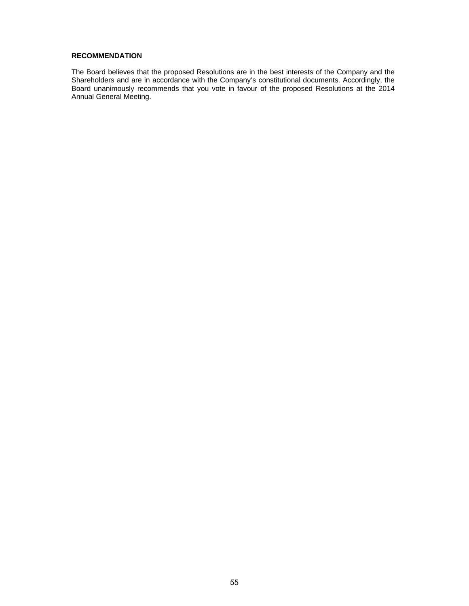### **RECOMMENDATION**

The Board believes that the proposed Resolutions are in the best interests of the Company and the Shareholders and are in accordance with the Company's constitutional documents. Accordingly, the Board unanimously recommends that you vote in favour of the proposed Resolutions at the 2014 Annual General Meeting.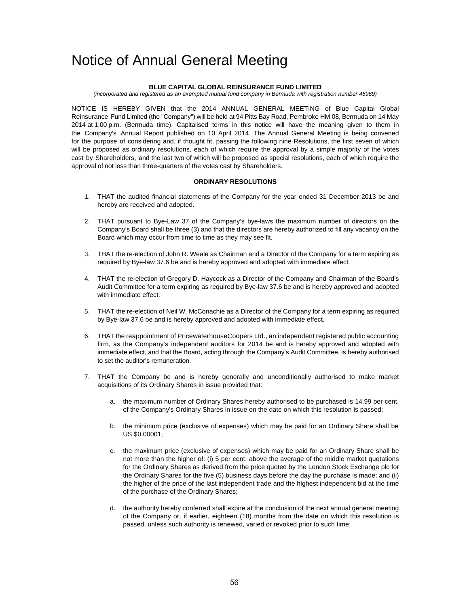# Notice of Annual General Meeting

#### **BLUE CAPITAL GLOBAL REINSURANCE FUND LIMITED**

*(incorporated and registered as an exempted mutual fund company in Bermuda with registration number 46969)* 

NOTICE IS HEREBY GIVEN that the 2014 ANNUAL GENERAL MEETING of Blue Capital Global Reinsurance Fund Limited (the "Company") will be held at 94 Pitts Bay Road, Pembroke HM 08, Bermuda on 14 May 2014 at 1:00 p.m. (Bermuda time). Capitalised terms in this notice will have the meaning given to them in the Company's Annual Report published on 10 April 2014. The Annual General Meeting is being convened for the purpose of considering and, if thought fit, passing the following nine Resolutions, the first seven of which will be proposed as ordinary resolutions, each of which require the approval by a simple majority of the votes cast by Shareholders, and the last two of which will be proposed as special resolutions, each of which require the approval of not less than three-quarters of the votes cast by Shareholders.

#### **ORDINARY RESOLUTIONS**

- 1. THAT the audited financial statements of the Company for the year ended 31 December 2013 be and hereby are received and adopted.
- 2. THAT pursuant to Bye-Law 37 of the Company's bye-laws the maximum number of directors on the Company's Board shall be three (3) and that the directors are hereby authorized to fill any vacancy on the Board which may occur from time to time as they may see fit.
- 3. THAT the re-election of John R. Weale as Chairman and a Director of the Company for a term expiring as required by Bye-law 37.6 be and is hereby approved and adopted with immediate effect.
- 4. THAT the re-election of Gregory D. Haycock as a Director of the Company and Chairman of the Board's Audit Committee for a term expiring as required by Bye-law 37.6 be and is hereby approved and adopted with immediate effect.
- 5. THAT the re-election of Neil W. McConachie as a Director of the Company for a term expiring as required by Bye-law 37.6 be and is hereby approved and adopted with immediate effect.
- 6. THAT the reappointment of PricewaterhouseCoopers Ltd., an independent registered public accounting firm, as the Company's independent auditors for 2014 be and is hereby approved and adopted with immediate effect, and that the Board, acting through the Company's Audit Committee, is hereby authorised to set the auditor's remuneration.
- 7. THAT the Company be and is hereby generally and unconditionally authorised to make market acquisitions of its Ordinary Shares in issue provided that:
	- a. the maximum number of Ordinary Shares hereby authorised to be purchased is 14.99 per cent. of the Company's Ordinary Shares in issue on the date on which this resolution is passed;
	- b. the minimum price (exclusive of expenses) which may be paid for an Ordinary Share shall be US \$0.00001;
	- c. the maximum price (exclusive of expenses) which may be paid for an Ordinary Share shall be not more than the higher of: (i) 5 per cent. above the average of the middle market quotations for the Ordinary Shares as derived from the price quoted by the London Stock Exchange plc for the Ordinary Shares for the five (5) business days before the day the purchase is made; and (ii) the higher of the price of the last independent trade and the highest independent bid at the time of the purchase of the Ordinary Shares;
	- d. the authority hereby conferred shall expire at the conclusion of the next annual general meeting of the Company or, if earlier, eighteen (18) months from the date on which this resolution is passed, unless such authority is renewed, varied or revoked prior to such time;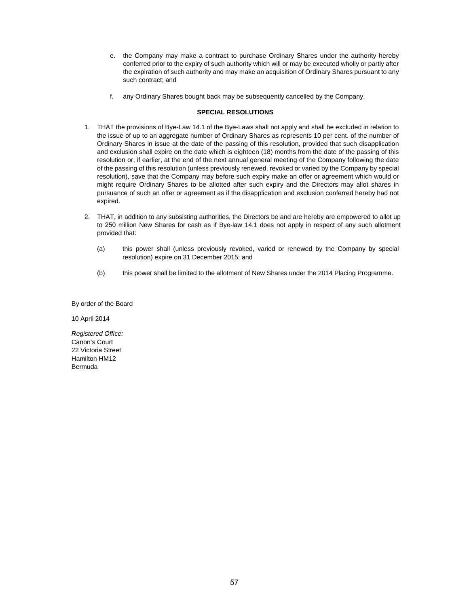- e. the Company may make a contract to purchase Ordinary Shares under the authority hereby conferred prior to the expiry of such authority which will or may be executed wholly or partly after the expiration of such authority and may make an acquisition of Ordinary Shares pursuant to any such contract; and
- f. any Ordinary Shares bought back may be subsequently cancelled by the Company.

#### **SPECIAL RESOLUTIONS**

- 1. THAT the provisions of Bye-Law 14.1 of the Bye-Laws shall not apply and shall be excluded in relation to the issue of up to an aggregate number of Ordinary Shares as represents 10 per cent. of the number of Ordinary Shares in issue at the date of the passing of this resolution, provided that such disapplication and exclusion shall expire on the date which is eighteen (18) months from the date of the passing of this resolution or, if earlier, at the end of the next annual general meeting of the Company following the date of the passing of this resolution (unless previously renewed, revoked or varied by the Company by special resolution), save that the Company may before such expiry make an offer or agreement which would or might require Ordinary Shares to be allotted after such expiry and the Directors may allot shares in pursuance of such an offer or agreement as if the disapplication and exclusion conferred hereby had not expired.
- 2. THAT, in addition to any subsisting authorities, the Directors be and are hereby are empowered to allot up to 250 million New Shares for cash as if Bye-law 14.1 does not apply in respect of any such allotment provided that:
	- (a) this power shall (unless previously revoked, varied or renewed by the Company by special resolution) expire on 31 December 2015; and
	- (b) this power shall be limited to the allotment of New Shares under the 2014 Placing Programme.

By order of the Board

10 April 2014

*Registered Office:* Canon's Court 22 Victoria Street Hamilton HM12 Bermuda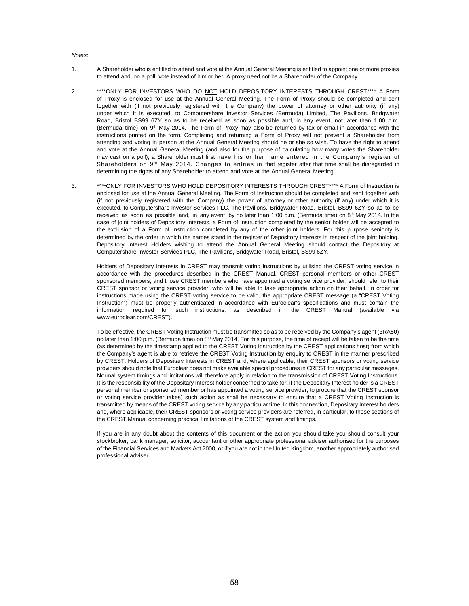#### *Notes*:

- 1. A Shareholder who is entitled to attend and vote at the Annual General Meeting is entitled to appoint one or more proxies to attend and, on a poll, vote instead of him or her. A proxy need not be a Shareholder of the Company.
- 2. \*\*\*\*ONLY FOR INVESTORS WHO DO NOT HOLD DEPOSITORY INTERESTS THROUGH CREST\*\*\*\* A Form of Proxy is enclosed for use at the Annual General Meeting. The Form of Proxy should be completed and sent together with (if not previously registered with the Company) the power of attorney or other authority (if any) under which it is executed, to Computershare Investor Services (Bermuda) Limited, The Pavilions, Bridgwater Road, Bristol BS99 6ZY so as to be received as soon as possible and, in any event, not later than 1:00 p.m. (Bermuda time) on 9<sup>th</sup> May 2014. The Form of Proxy may also be returned by fax or email in accordance with the instructions printed on the form. Completing and returning a Form of Proxy will not prevent a Shareholder from attending and voting in person at the Annual General Meeting should he or she so wish. To have the right to attend and vote at the Annual General Meeting (and also for the purpose of calculating how many votes the Shareholder may cast on a poll), a Shareholder must first have his or her name entered in the Company's register of Shareholders on 9<sup>th</sup> May 2014. Changes to entries in that register after that time shall be disregarded in determining the rights of any Shareholder to attend and vote at the Annual General Meeting.
- 3. \*\*\*\*ONLY FOR INVESTORS WHO HOLD DEPOSITORY INTERESTS THROUGH CREST\*\*\*\* A Form of Instruction is enclosed for use at the Annual General Meeting. The Form of Instruction should be completed and sent together with (if not previously registered with the Company) the power of attorney or other authority (if any) under which it is executed, to Computershare Investor Services PLC, The Pavilions, Bridgwater Road, Bristol, BS99 6ZY so as to be received as soon as possible and, in any event, by no later than 1:00 p.m. (Bermuda time) on 8<sup>th</sup> May 2014. In the case of joint holders of Depository Interests, a Form of Instruction completed by the senior holder will be accepted to the exclusion of a Form of Instruction completed by any of the other joint holders. For this purpose seniority is determined by the order in which the names stand in the register of Depository Interests in respect of the joint holding. Depository Interest Holders wishing to attend the Annual General Meeting should contact the Depository at Computershare Investor Services PLC, The Pavilions, Bridgwater Road, Bristol, BS99 6ZY.

Holders of Depositary Interests in CREST may transmit voting instructions by utilising the CREST voting service in accordance with the procedures described in the CREST Manual. CREST personal members or other CREST sponsored members, and those CREST members who have appointed a voting service provider, should refer to their CREST sponsor or voting service provider, who will be able to take appropriate action on their behalf. In order for instructions made using the CREST voting service to be valid, the appropriate CREST message (a "CREST Voting Instruction") must be properly authenticated in accordance with Euroclear's specifications and must contain the information required for such instructions, as described in the CREST Manual (available via www.euroclear.com/CREST).

To be effective, the CREST Voting Instruction must be transmitted so as to be received by the Company's agent (3RA50) no later than 1:00 p.m. (Bermuda time) on 8<sup>th</sup> May 2014. For this purpose, the time of receipt will be taken to be the time (as determined by the timestamp applied to the CREST Voting Instruction by the CREST applications host) from which the Company's agent is able to retrieve the CREST Voting Instruction by enquiry to CREST in the manner prescribed by CREST. Holders of Depositary Interests in CREST and, where applicable, their CREST sponsors or voting service providers should note that Euroclear does not make available special procedures in CREST for any particular messages. Normal system timings and limitations will therefore apply in relation to the transmission of CREST Voting Instructions. It is the responsibility of the Depositary Interest holder concerned to take (or, if the Depositary Interest holder is a CREST personal member or sponsored member or has appointed a voting service provider, to procure that the CREST sponsor or voting service provider takes) such action as shall be necessary to ensure that a CREST Voting Instruction is transmitted by means of the CREST voting service by any particular time. In this connection, Depositary Interest holders and, where applicable, their CREST sponsors or voting service providers are referred, in particular, to those sections of the CREST Manual concerning practical limitations of the CREST system and timings.

If you are in any doubt about the contents of this document or the action you should take you should consult your stockbroker, bank manager, solicitor, accountant or other appropriate professional adviser authorised for the purposes of the Financial Services and Markets Act 2000, or if you are not in the United Kingdom, another appropriately authorised professional adviser.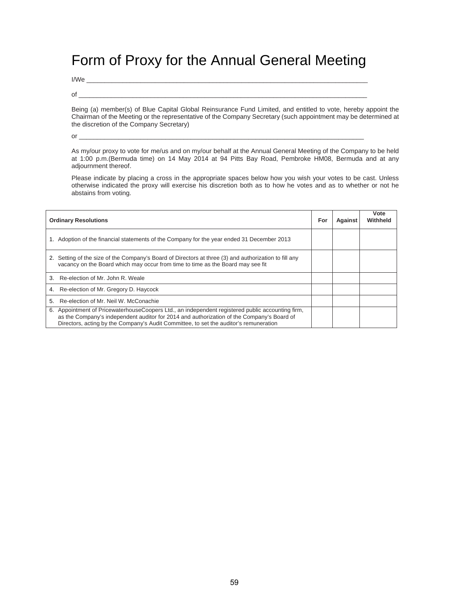# Form of Proxy for the Annual General Meeting

of \_\_\_\_\_\_\_\_\_\_\_\_\_\_\_\_\_\_\_\_\_\_\_\_\_\_\_\_\_\_\_\_\_\_\_\_\_\_\_\_\_\_\_\_\_\_\_\_\_\_\_\_\_\_\_\_\_\_\_\_\_\_\_\_\_\_\_\_\_\_\_\_\_\_\_\_\_\_\_\_

I/We \_\_\_\_\_\_\_\_\_\_\_\_\_\_\_\_\_\_\_\_\_\_\_\_\_\_\_\_\_\_\_\_\_\_\_\_\_\_\_\_\_\_\_\_\_\_\_\_\_\_\_\_\_\_\_\_\_\_\_\_\_\_\_\_\_\_\_\_\_\_\_\_\_\_\_\_\_\_

Being (a) member(s) of Blue Capital Global Reinsurance Fund Limited, and entitled to vote, hereby appoint the Chairman of the Meeting or the representative of the Company Secretary (such appointment may be determined at the discretion of the Company Secretary)

or \_\_\_\_\_\_\_\_\_\_\_\_\_\_\_\_\_\_\_\_\_\_\_\_\_\_\_\_\_\_\_\_\_\_\_\_\_\_\_\_\_\_\_\_\_\_\_\_\_\_\_\_\_\_\_\_\_\_\_\_\_\_\_\_\_\_\_\_\_\_\_\_\_\_\_\_\_\_\_

As my/our proxy to vote for me/us and on my/our behalf at the Annual General Meeting of the Company to be held at 1:00 p.m.(Bermuda time) on 14 May 2014 at 94 Pitts Bay Road, Pembroke HM08, Bermuda and at any adjournment thereof.

Please indicate by placing a cross in the appropriate spaces below how you wish your votes to be cast. Unless otherwise indicated the proxy will exercise his discretion both as to how he votes and as to whether or not he abstains from voting.

| <b>Ordinary Resolutions</b>                                                                                                                                                                                                                                                               | For | Against | Vote<br>Withheld |
|-------------------------------------------------------------------------------------------------------------------------------------------------------------------------------------------------------------------------------------------------------------------------------------------|-----|---------|------------------|
| 1. Adoption of the financial statements of the Company for the year ended 31 December 2013                                                                                                                                                                                                |     |         |                  |
| 2. Setting of the size of the Company's Board of Directors at three (3) and authorization to fill any<br>vacancy on the Board which may occur from time to time as the Board may see fit                                                                                                  |     |         |                  |
| Re-election of Mr. John R. Weale<br>3.                                                                                                                                                                                                                                                    |     |         |                  |
| Re-election of Mr. Gregory D. Haycock<br>4.                                                                                                                                                                                                                                               |     |         |                  |
| Re-election of Mr. Neil W. McConachie<br>5.                                                                                                                                                                                                                                               |     |         |                  |
| Appointment of PricewaterhouseCoopers Ltd., an independent registered public accounting firm,<br>6.<br>as the Company's independent auditor for 2014 and authorization of the Company's Board of<br>Directors, acting by the Company's Audit Committee, to set the auditor's remuneration |     |         |                  |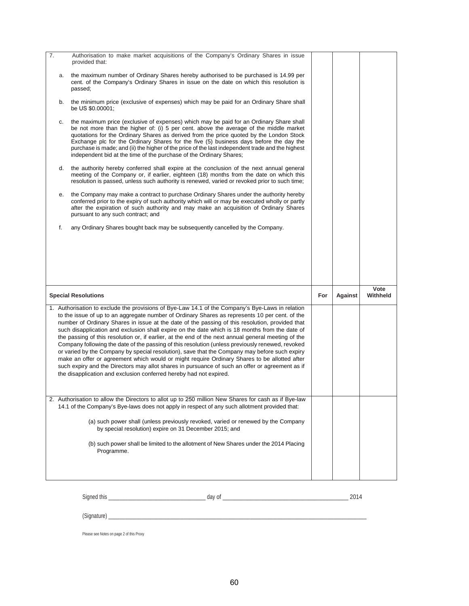| 7. | Authorisation to make market acquisitions of the Company's Ordinary Shares in issue<br>provided that:                                                                                                                                                                                                                                                                                                                                                                                                                                                                                                                                                                                                                                                                                                                                                                                                                                                                                        |     |         |                 |
|----|----------------------------------------------------------------------------------------------------------------------------------------------------------------------------------------------------------------------------------------------------------------------------------------------------------------------------------------------------------------------------------------------------------------------------------------------------------------------------------------------------------------------------------------------------------------------------------------------------------------------------------------------------------------------------------------------------------------------------------------------------------------------------------------------------------------------------------------------------------------------------------------------------------------------------------------------------------------------------------------------|-----|---------|-----------------|
|    | the maximum number of Ordinary Shares hereby authorised to be purchased is 14.99 per<br>a.<br>cent. of the Company's Ordinary Shares in issue on the date on which this resolution is<br>passed;                                                                                                                                                                                                                                                                                                                                                                                                                                                                                                                                                                                                                                                                                                                                                                                             |     |         |                 |
|    | the minimum price (exclusive of expenses) which may be paid for an Ordinary Share shall<br>b.<br>be US \$0.00001;                                                                                                                                                                                                                                                                                                                                                                                                                                                                                                                                                                                                                                                                                                                                                                                                                                                                            |     |         |                 |
|    | the maximum price (exclusive of expenses) which may be paid for an Ordinary Share shall<br>c.<br>be not more than the higher of: (i) 5 per cent. above the average of the middle market<br>quotations for the Ordinary Shares as derived from the price quoted by the London Stock<br>Exchange plc for the Ordinary Shares for the five (5) business days before the day the<br>purchase is made; and (ii) the higher of the price of the last independent trade and the highest<br>independent bid at the time of the purchase of the Ordinary Shares;                                                                                                                                                                                                                                                                                                                                                                                                                                      |     |         |                 |
|    | the authority hereby conferred shall expire at the conclusion of the next annual general<br>d.<br>meeting of the Company or, if earlier, eighteen (18) months from the date on which this<br>resolution is passed, unless such authority is renewed, varied or revoked prior to such time;                                                                                                                                                                                                                                                                                                                                                                                                                                                                                                                                                                                                                                                                                                   |     |         |                 |
|    | the Company may make a contract to purchase Ordinary Shares under the authority hereby<br>е.<br>conferred prior to the expiry of such authority which will or may be executed wholly or partly<br>after the expiration of such authority and may make an acquisition of Ordinary Shares<br>pursuant to any such contract; and                                                                                                                                                                                                                                                                                                                                                                                                                                                                                                                                                                                                                                                                |     |         |                 |
|    | f.<br>any Ordinary Shares bought back may be subsequently cancelled by the Company.                                                                                                                                                                                                                                                                                                                                                                                                                                                                                                                                                                                                                                                                                                                                                                                                                                                                                                          |     |         |                 |
|    |                                                                                                                                                                                                                                                                                                                                                                                                                                                                                                                                                                                                                                                                                                                                                                                                                                                                                                                                                                                              |     |         |                 |
|    |                                                                                                                                                                                                                                                                                                                                                                                                                                                                                                                                                                                                                                                                                                                                                                                                                                                                                                                                                                                              |     |         |                 |
|    |                                                                                                                                                                                                                                                                                                                                                                                                                                                                                                                                                                                                                                                                                                                                                                                                                                                                                                                                                                                              |     |         |                 |
|    |                                                                                                                                                                                                                                                                                                                                                                                                                                                                                                                                                                                                                                                                                                                                                                                                                                                                                                                                                                                              |     |         | Vote            |
|    | <b>Special Resolutions</b>                                                                                                                                                                                                                                                                                                                                                                                                                                                                                                                                                                                                                                                                                                                                                                                                                                                                                                                                                                   | For | Against | <b>Withheld</b> |
|    | 1. Authorisation to exclude the provisions of Bye-Law 14.1 of the Company's Bye-Laws in relation<br>to the issue of up to an aggregate number of Ordinary Shares as represents 10 per cent. of the<br>number of Ordinary Shares in issue at the date of the passing of this resolution, provided that<br>such disapplication and exclusion shall expire on the date which is 18 months from the date of<br>the passing of this resolution or, if earlier, at the end of the next annual general meeting of the<br>Company following the date of the passing of this resolution (unless previously renewed, revoked<br>or varied by the Company by special resolution), save that the Company may before such expiry<br>make an offer or agreement which would or might require Ordinary Shares to be allotted after<br>such expiry and the Directors may allot shares in pursuance of such an offer or agreement as if<br>the disapplication and exclusion conferred hereby had not expired. |     |         |                 |
|    | 2. Authorisation to allow the Directors to allot up to 250 million New Shares for cash as if Bye-law<br>14.1 of the Company's Bye-laws does not apply in respect of any such allotment provided that:                                                                                                                                                                                                                                                                                                                                                                                                                                                                                                                                                                                                                                                                                                                                                                                        |     |         |                 |
|    | (a) such power shall (unless previously revoked, varied or renewed by the Company<br>by special resolution) expire on 31 December 2015; and                                                                                                                                                                                                                                                                                                                                                                                                                                                                                                                                                                                                                                                                                                                                                                                                                                                  |     |         |                 |
|    | (b) such power shall be limited to the allotment of New Shares under the 2014 Placing<br>Programme.                                                                                                                                                                                                                                                                                                                                                                                                                                                                                                                                                                                                                                                                                                                                                                                                                                                                                          |     |         |                 |

| $\overline{\phantom{0}}$<br>ed this<br>ור<br>не<br>___<br>$\overline{\phantom{a}}$ | day | OL<br>~ |  |
|------------------------------------------------------------------------------------|-----|---------|--|
|                                                                                    |     |         |  |

(Signature) \_\_\_\_\_\_\_\_\_\_\_\_\_\_\_\_\_\_\_\_\_\_\_\_\_\_\_\_\_\_\_\_\_\_\_\_\_\_\_\_\_\_\_\_\_\_\_\_\_\_\_\_\_\_\_\_\_\_\_\_\_\_\_\_\_\_\_\_\_\_\_\_\_\_\_\_\_\_\_\_\_\_\_\_\_\_\_\_\_\_\_\_\_

Please see Notes on page 2 of this Proxy